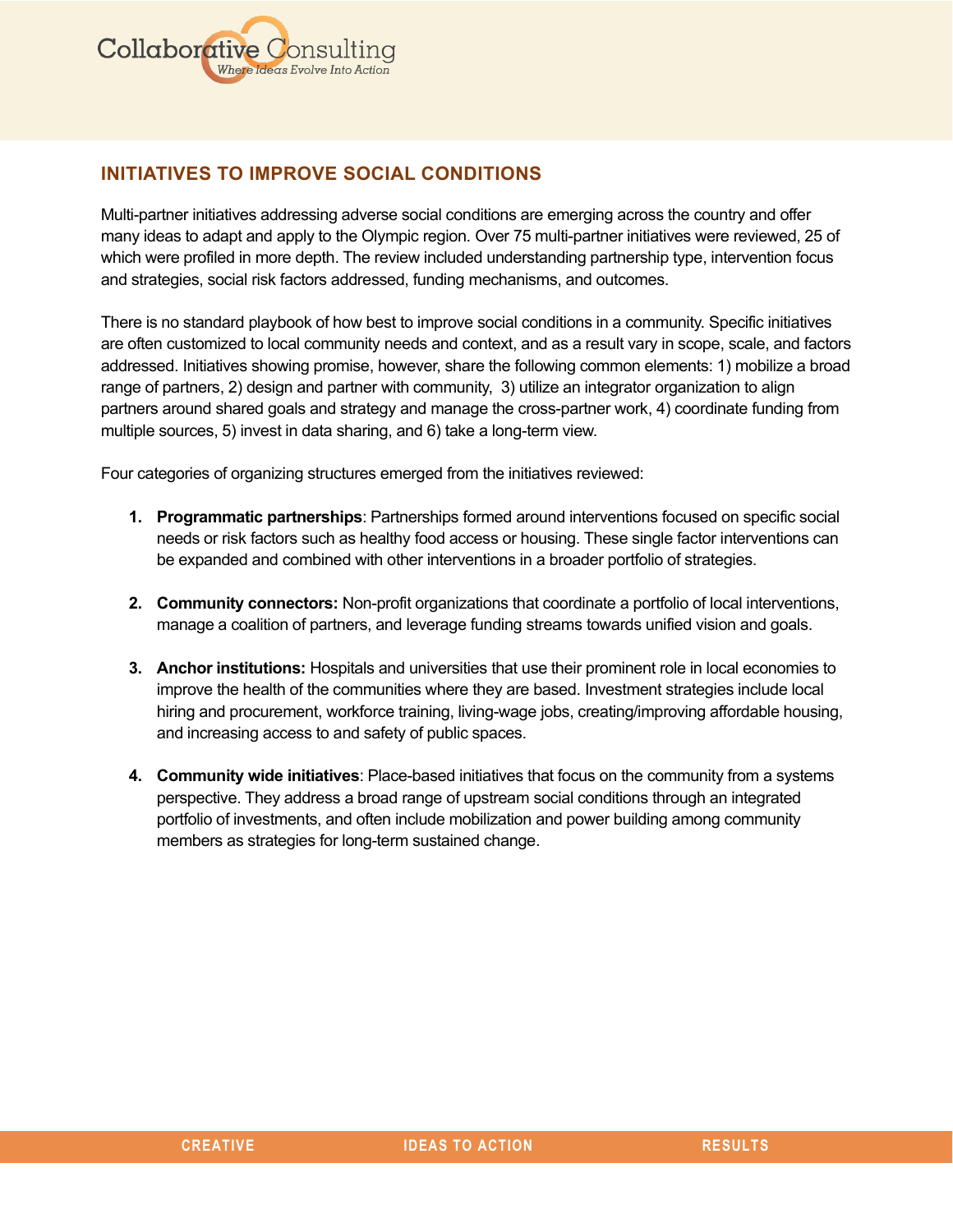

# **INITIATIVES TO IMPROVE SOCIAL CONDITIONS**

Multi-partner initiatives addressing adverse social conditions are emerging across the country and offer many ideas to adapt and apply to the Olympic region. Over 75 multi-partner initiatives were reviewed, 25 of which were profiled in more depth. The review included understanding partnership type, intervention focus and strategies, social risk factors addressed, funding mechanisms, and outcomes.

There is no standard playbook of how best to improve social conditions in a community. Specific initiatives are often customized to local community needs and context, and as a result vary in scope, scale, and factors addressed. Initiatives showing promise, however, share the following common elements: 1) mobilize a broad range of partners, 2) design and partner with community, 3) utilize an integrator organization to align partners around shared goals and strategy and manage the cross-partner work, 4) coordinate funding from multiple sources, 5) invest in data sharing, and 6) take a long-term view.

Four categories of organizing structures emerged from the initiatives reviewed:

- **1. Programmatic partnerships**: Partnerships formed around interventions focused on specific social needs or risk factors such as healthy food access or housing. These single factor interventions can be expanded and combined with other interventions in a broader portfolio of strategies.
- **2. Community connectors:** Non-profit organizations that coordinate a portfolio of local interventions, manage a coalition of partners, and leverage funding streams towards unified vision and goals.
- **3. Anchor institutions:** Hospitals and universities that use their prominent role in local economies to improve the health of the communities where they are based. Investment strategies include local hiring and procurement, workforce training, living-wage jobs, creating/improving affordable housing, and increasing access to and safety of public spaces.
- **4. Community wide initiatives**: Place-based initiatives that focus on the community from a systems perspective. They address a broad range of upstream social conditions through an integrated portfolio of investments, and often include mobilization and power building among community members as strategies for long-term sustained change.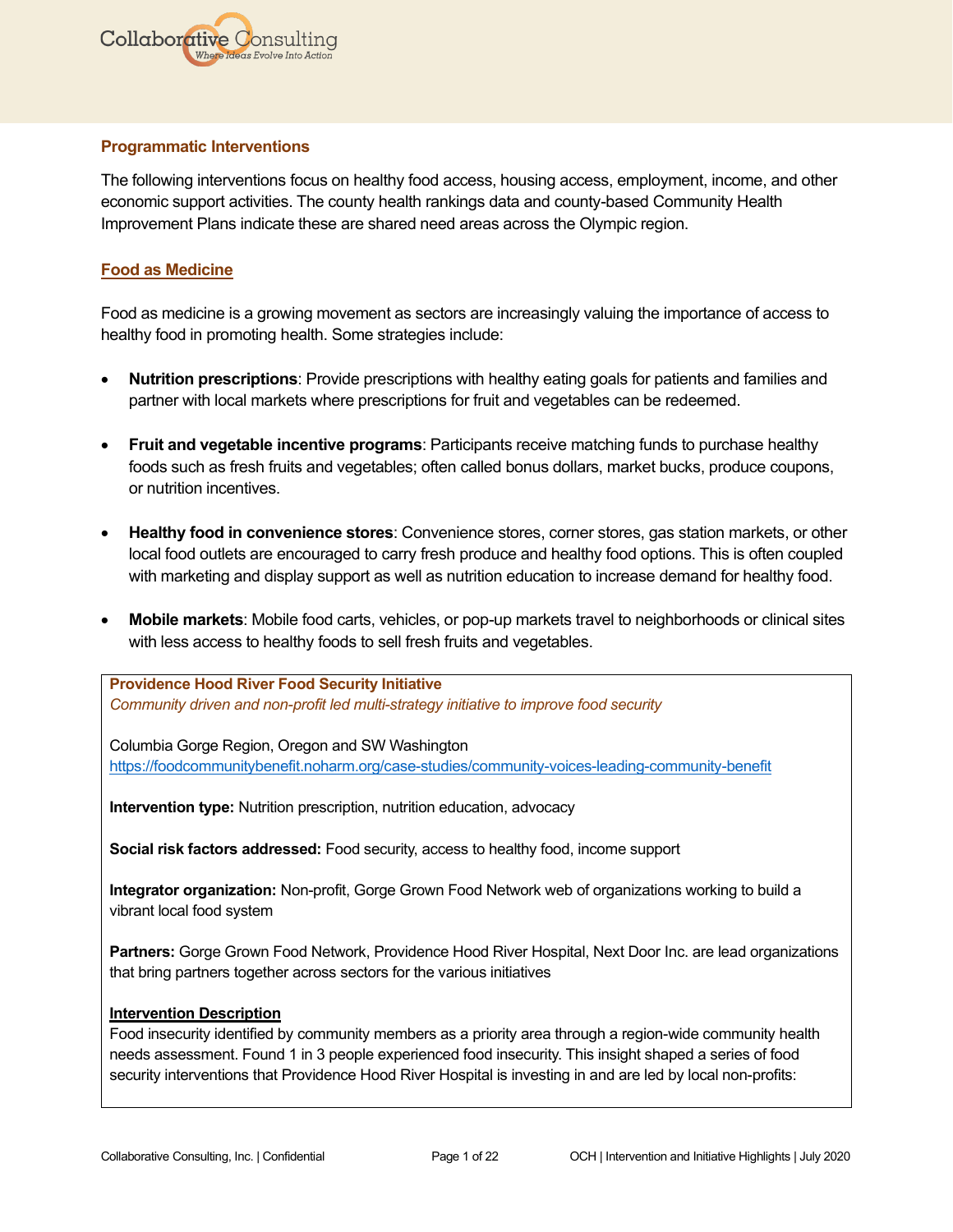

## **Programmatic Interventions**

The following interventions focus on healthy food access, housing access, employment, income, and other economic support activities. The county health rankings data and county-based Community Health Improvement Plans indicate these are shared need areas across the Olympic region.

## **Food as Medicine**

Food as medicine is a growing movement as sectors are increasingly valuing the importance of access to healthy food in promoting health. Some strategies include:

- **Nutrition prescriptions**: Provide prescriptions with healthy eating goals for patients and families and partner with local markets where prescriptions for fruit and vegetables can be redeemed.
- **Fruit and vegetable incentive programs**: Participants receive matching funds to purchase healthy foods such as fresh fruits and vegetables; often called bonus dollars, market bucks, produce coupons, or nutrition incentives.
- **Healthy food in convenience stores**: Convenience stores, corner stores, gas station markets, or other local food outlets are encouraged to carry fresh produce and healthy food options. This is often coupled with marketing and display support as well as nutrition education to increase demand for healthy food.
- **Mobile markets**: Mobile food carts, vehicles, or pop-up markets travel to neighborhoods or clinical sites with less access to healthy foods to sell fresh fruits and vegetables.

**[Providence Hood River Food Security Initiative](https://foodcommunitybenefit.noharm.org/case-studies/community-voices-leading-community-benefit)** *Community driven and non-profit led multi-strategy initiative to improve food security*

Columbia Gorge Region, Oregon and SW Washington <https://foodcommunitybenefit.noharm.org/case-studies/community-voices-leading-community-benefit>

**Intervention type:** Nutrition prescription, nutrition education, advocacy

**Social risk factors addressed:** Food security, access to healthy food, income support

**Integrator organization:** Non-profit, Gorge Grown Food Network web of organizations working to build a vibrant local food system

**Partners:** Gorge Grown Food Network, Providence Hood River Hospital, Next Door Inc. are lead organizations that bring partners together across sectors for the various initiatives

#### **Intervention Description**

Food insecurity identified by community members as a priority area through a region-wide community health needs assessment. Found 1 in 3 people experienced food insecurity. This insight shaped a series of food security interventions that Providence Hood River Hospital is investing in and are led by local non-profits: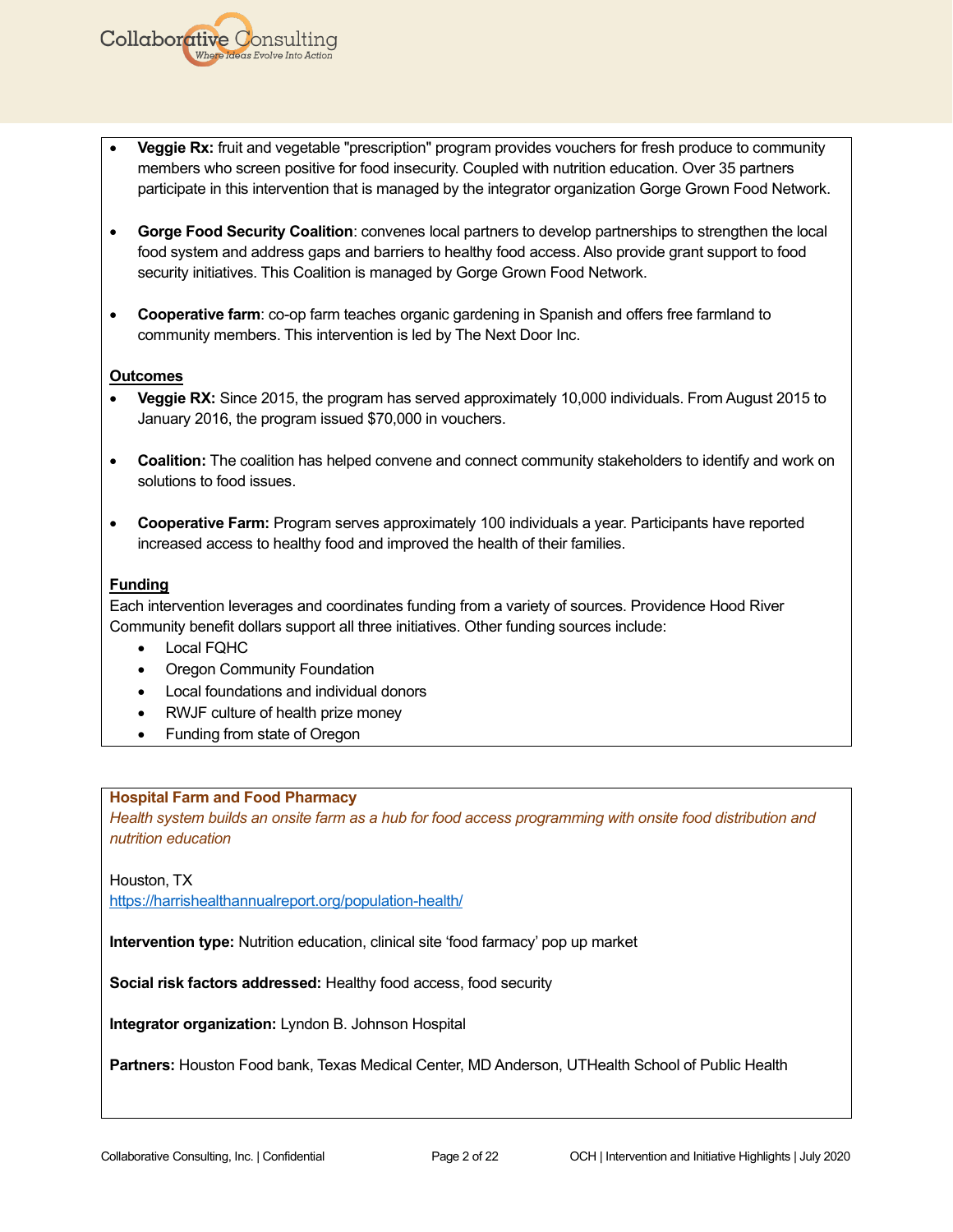- **Veggie Rx:** fruit and vegetable "prescription" program provides vouchers for fresh produce to community members who screen positive for food insecurity. Coupled with nutrition education. Over 35 partners participate in this intervention that is managed by the integrator organization Gorge Grown Food Network.
- **Gorge Food Security Coalition**: convenes local partners to develop partnerships to strengthen the local food system and address gaps and barriers to healthy food access. Also provide grant support to food security initiatives. This Coalition is managed by Gorge Grown Food Network.
- **Cooperative farm**: co-op farm teaches organic gardening in Spanish and offers free farmland to community members. This intervention is led by The Next Door Inc.

### **Outcomes**

**Collaborative Consulting** 

- **Veggie RX:** Since 2015, the program has served approximately 10,000 individuals. From August 2015 to January 2016, the program issued \$70,000 in vouchers.
- **Coalition:** The coalition has helped convene and connect community stakeholders to identify and work on solutions to food issues.
- **Cooperative Farm:** Program serves approximately 100 individuals a year. Participants have reported increased access to healthy food and improved the health of their families.

### **Funding**

Each intervention leverages and coordinates funding from a variety of sources. Providence Hood River Community benefit dollars support all three initiatives. Other funding sources include:

- Local FQHC
- Oregon Community Foundation
- Local foundations and individual donors
- RWJF culture of health prize money
- Funding from state of Oregon

#### **Hospital Farm and Food Pharmacy**

*Health system builds an onsite farm as a hub for food access programming with onsite food distribution and nutrition education*

Houston, TX

<https://harrishealthannualreport.org/population-health/>

**Intervention type:** Nutrition education, clinical site 'food farmacy' pop up market

**Social risk factors addressed:** Healthy food access, food security

**Integrator organization:** Lyndon B. Johnson Hospital

**Partners:** Houston Food bank, Texas Medical Center, MD Anderson, UTHealth School of Public Health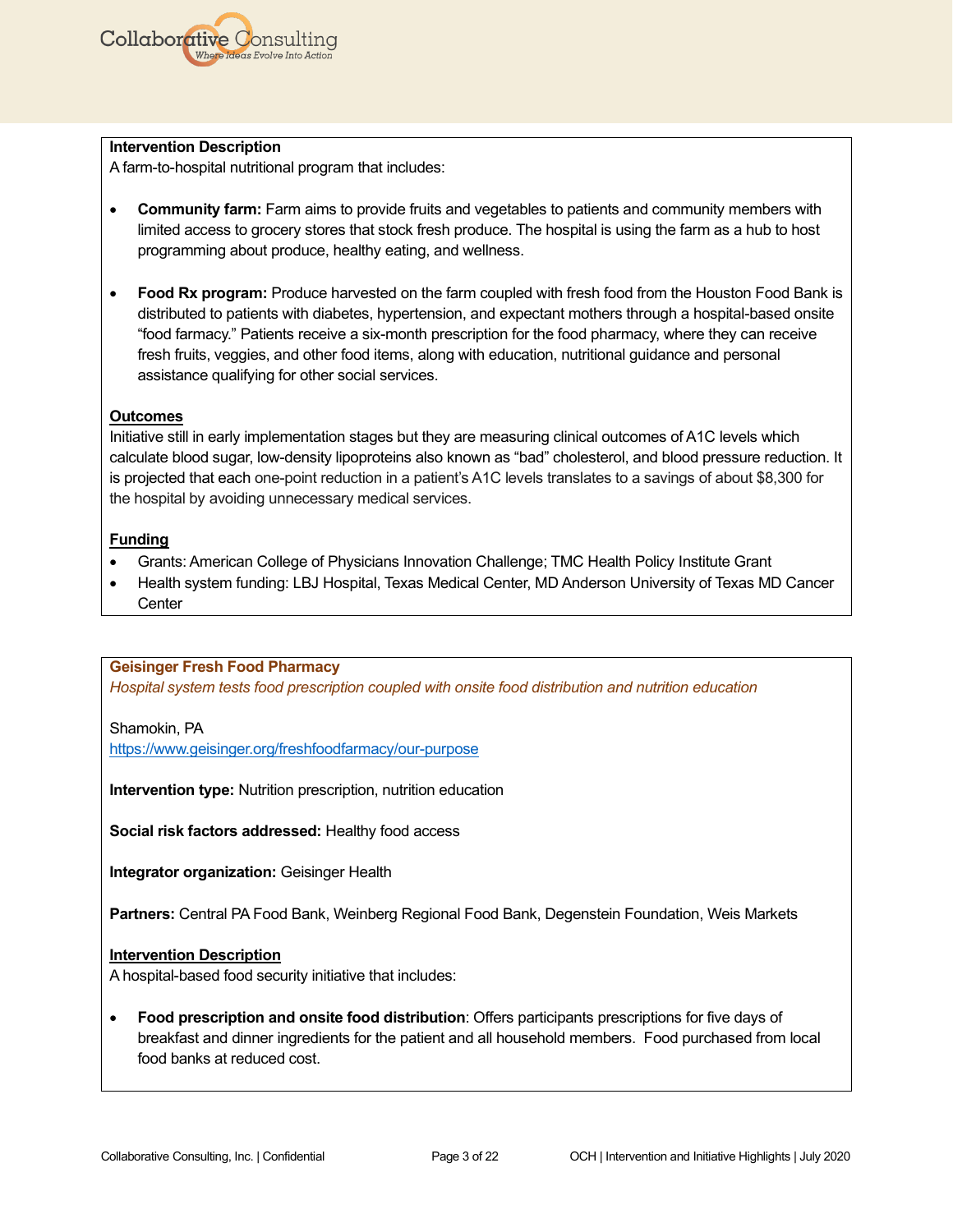

#### **Intervention Description**

A farm-to-hospital nutritional program that includes:

- **Community farm:** Farm aims to provide fruits and vegetables to patients and community members with limited access to grocery stores that stock fresh produce. The hospital is using the farm as a hub to host programming about produce, healthy eating, and wellness.
- **Food Rx program:** Produce harvested on the farm coupled with fresh food from the Houston Food Bank is distributed to patients with diabetes, hypertension, and expectant mothers through a hospital-based onsite "food farmacy." Patients receive a six-month prescription for the food pharmacy, where they can receive fresh fruits, veggies, and other food items, along with education, nutritional guidance and personal assistance qualifying for other social services.

### **Outcomes**

Initiative still in early implementation stages but they are measuring clinical outcomes of A1C levels which calculate blood sugar, low-density lipoproteins also known as "bad" cholesterol, and blood pressure reduction. It is projected that each one-point reduction in a patient's A1C levels translates to a savings of about \$8,300 for the hospital by avoiding unnecessary medical services.

### **Funding**

- Grants: American College of Physicians Innovation Challenge; TMC Health Policy Institute Grant
- Health system funding: LBJ Hospital, Texas Medical Center, MD Anderson University of Texas MD Cancer **Center**

#### **Geisinger Fresh Food Pharmacy**

*Hospital system tests food prescription coupled with onsite food distribution and nutrition education*

#### Shamokin, PA

<https://www.geisinger.org/freshfoodfarmacy/our-purpose>

**Intervention type:** Nutrition prescription, nutrition education

**Social risk factors addressed:** Healthy food access

**Integrator organization:** Geisinger Health

**Partners:** Central PA Food Bank, Weinberg Regional Food Bank, Degenstein Foundation, Weis Markets

#### **Intervention Description**

A hospital-based food security initiative that includes:

• **Food prescription and onsite food distribution**: Offers participants prescriptions for five days of breakfast and dinner ingredients for the patient and all household members. Food purchased from local food banks at reduced cost.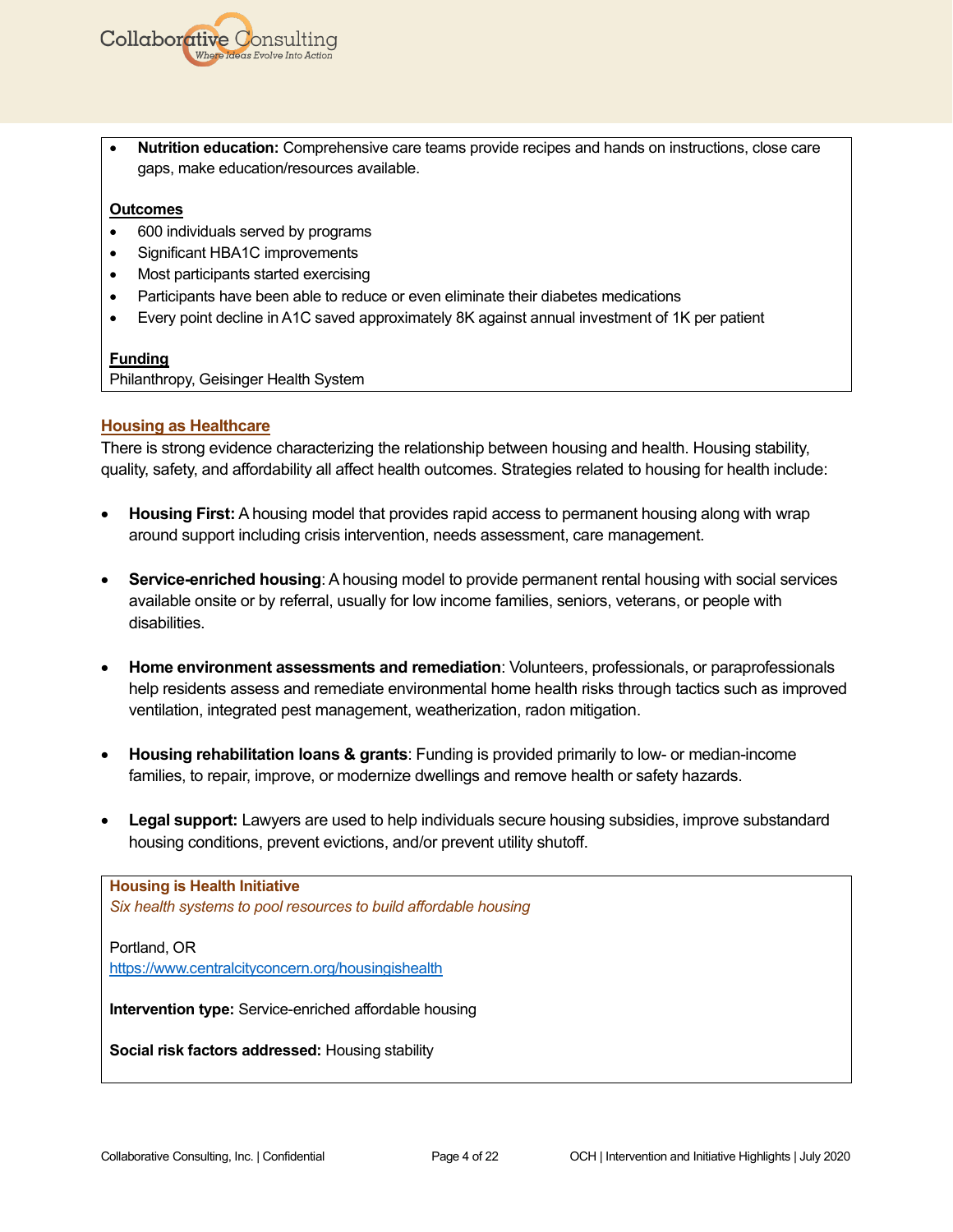

• **Nutrition education:** Comprehensive care teams provide recipes and hands on instructions, close care gaps, make education/resources available.

#### **Outcomes**

- 600 individuals served by programs
- Significant HBA1C improvements
- Most participants started exercising
- Participants have been able to reduce or even eliminate their diabetes medications
- Every point decline in A1C saved approximately 8K against annual investment of 1K per patient

### **Funding**

Philanthropy, Geisinger Health System

### **Housing as Healthcare**

There is strong evidence characterizing the relationship between housing and health. Housing stability, quality, safety, and affordability all affect health outcomes. Strategies related to housing for health include:

- **Housing First:** A housing model that provides rapid access to permanent housing along with wrap around support including crisis intervention, needs assessment, care management.
- **Service-enriched housing**: A housing model to provide permanent rental housing with social services available onsite or by referral, usually for low income families, seniors, veterans, or people with disabilities.
- **Home environment assessments and remediation**: Volunteers, professionals, or paraprofessionals help residents assess and remediate environmental home health risks through tactics such as improved ventilation, integrated pest management, weatherization, radon mitigation.
- **Housing rehabilitation loans & grants**: Funding is provided primarily to low- or median-income families, to repair, improve, or modernize dwellings and remove health or safety hazards.
- **Legal support:** Lawyers are used to help individuals secure housing subsidies, improve substandard housing conditions, prevent evictions, and/or prevent utility shutoff.

### **Housing is Health Initiative** *Six health systems to pool resources to build affordable housing*

Portland, OR <https://www.centralcityconcern.org/housingishealth>

**Intervention type:** Service-enriched affordable housing

**Social risk factors addressed:** Housing stability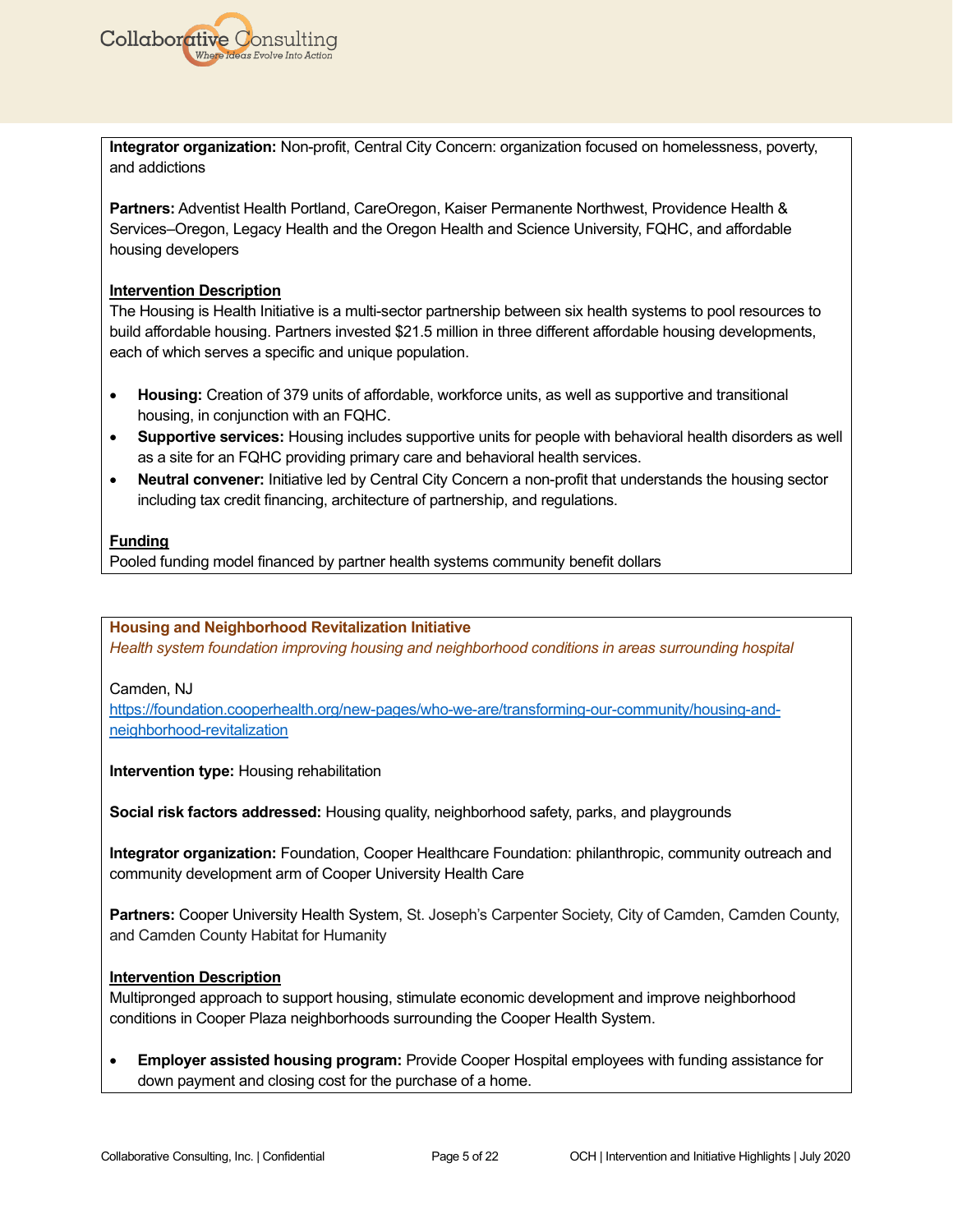

**Integrator organization:** Non-profit, Central City Concern: organization focused on homelessness, poverty, and addictions

**Partners:** Adventist Health Portland, CareOregon, Kaiser Permanente Northwest, Providence Health & Services–Oregon, Legacy Health and the Oregon Health and Science University, FQHC, and affordable housing developers

#### **Intervention Description**

The Housing is Health Initiative is a multi-sector partnership between six health systems to pool resources to build affordable housing. Partners invested \$21.5 million in three different affordable housing developments, each of which serves a specific and unique population.

- **Housing:** Creation of 379 units of affordable, workforce units, as well as supportive and transitional housing, in conjunction with an FQHC.
- **Supportive services:** Housing includes supportive units for people with behavioral health disorders as well as a site for an FQHC providing primary care and behavioral health services.
- **Neutral convener:** Initiative led by Central City Concern a non-profit that understands the housing sector including tax credit financing, architecture of partnership, and regulations.

#### **Funding**

Pooled funding model financed by partner health systems community benefit dollars

#### **Housing and Neighborhood Revitalization Initiative**

*Health system foundation improving housing and neighborhood conditions in areas surrounding hospital*

#### Camden, NJ

[https://foundation.cooperhealth.org/new-pages/who-we-are/transforming-our-community/housing-and](https://foundation.cooperhealth.org/new-pages/who-we-are/transforming-our-community/housing-and-neighborhood-revitalization)[neighborhood-revitalization](https://foundation.cooperhealth.org/new-pages/who-we-are/transforming-our-community/housing-and-neighborhood-revitalization)

#### **Intervention type:** Housing rehabilitation

**Social risk factors addressed:** Housing quality, neighborhood safety, parks, and playgrounds

**Integrator organization:** Foundation, Cooper Healthcare Foundation: philanthropic, community outreach and community development arm of Cooper University Health Care

**Partners:** Cooper University Health System, St. Joseph's Carpenter Society, City of Camden, Camden County, and Camden County Habitat for Humanity

#### **Intervention Description**

Multipronged approach to support housing, stimulate economic development and improve neighborhood conditions in Cooper Plaza neighborhoods surrounding the Cooper Health System.

• **Employer assisted housing program:** Provide Cooper Hospital employees with funding assistance for down payment and closing cost for the purchase of a home.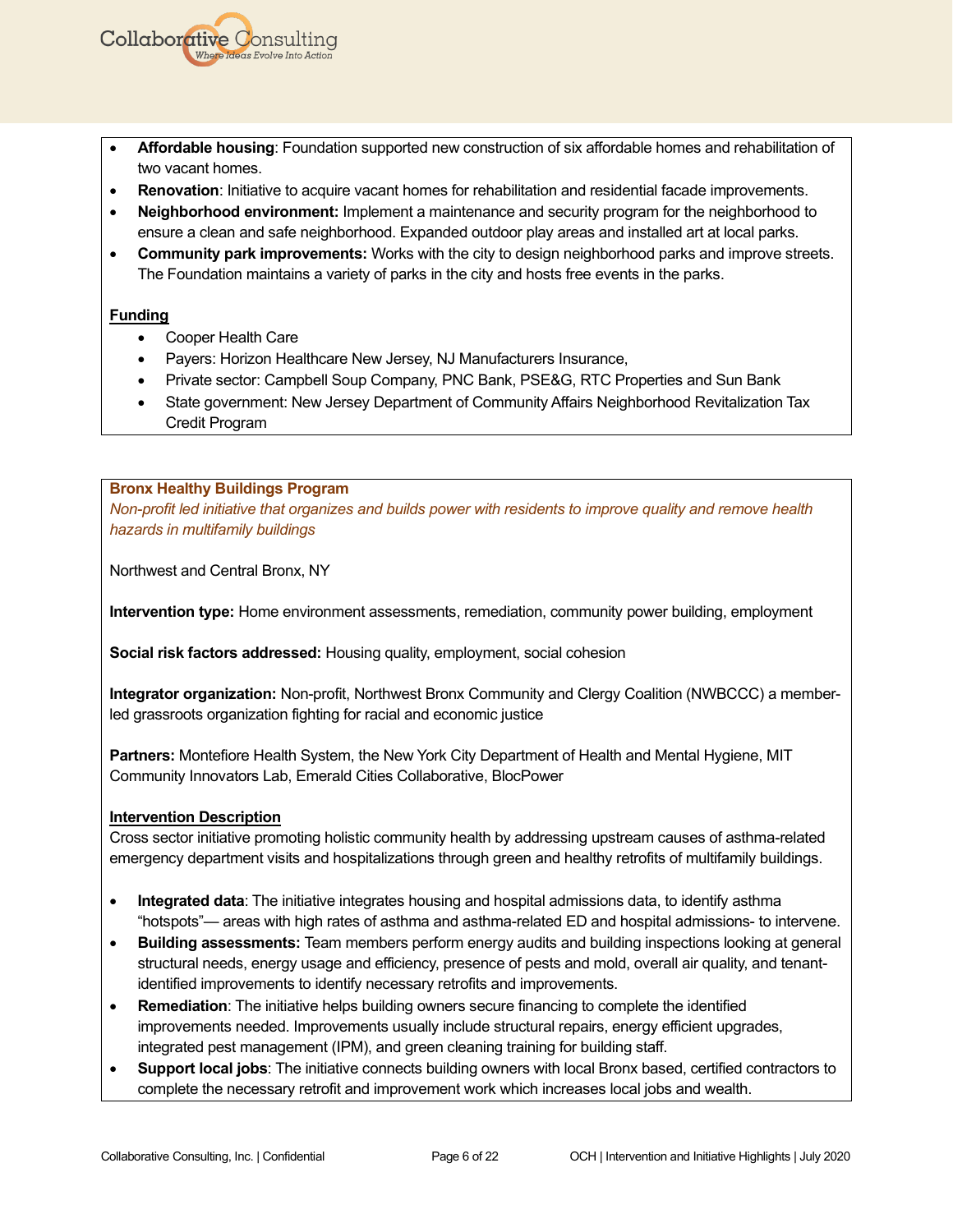- **Affordable housing**: Foundation supported new construction of six affordable homes and rehabilitation of two vacant homes.
- **Renovation**: Initiative to acquire vacant homes for rehabilitation and residential facade improvements.
- **Neighborhood environment:** Implement a maintenance and security program for the neighborhood to ensure a clean and safe neighborhood. Expanded outdoor play areas and installed art at local parks.
- **Community park improvements:** Works with the city to design neighborhood parks and improve streets. The Foundation maintains a variety of parks in the city and hosts free events in the parks.

• Cooper Health Care

**Collaborative Consulting** 

- Payers: Horizon Healthcare New Jersey, NJ Manufacturers Insurance,
- Private sector: Campbell Soup Company, PNC Bank, PSE&G, RTC Properties and Sun Bank
- State government: New Jersey Department of Community Affairs Neighborhood Revitalization Tax Credit Program

#### **Bronx Healthy Buildings Program**

*Non-profit led initiative that organizes and builds power with residents to improve quality and remove health hazards in multifamily buildings*

Northwest and Central Bronx, NY

**Intervention type:** Home environment assessments, remediation, community power building, employment

**Social risk factors addressed:** Housing quality, employment, social cohesion

**Integrator organization:** Non-profit, Northwest Bronx Community and Clergy Coalition (NWBCCC) a memberled grassroots organization fighting for racial and economic justice

**Partners:** Montefiore Health System, the New York City Department of Health and Mental Hygiene, MIT Community Innovators Lab, Emerald Cities Collaborative, BlocPower

#### **Intervention Description**

Cross sector initiative promoting holistic community health by addressing upstream causes of asthma-related emergency department visits and hospitalizations through green and healthy retrofits of multifamily buildings.

- **Integrated data**: The initiative integrates housing and hospital admissions data, to identify asthma "hotspots"— areas with high rates of asthma and asthma-related ED and hospital admissions- to intervene.
- **Building assessments:** Team members perform energy audits and building inspections looking at general structural needs, energy usage and efficiency, presence of pests and mold, overall air quality, and tenantidentified improvements to identify necessary retrofits and improvements.
- **Remediation**: The initiative helps building owners secure financing to complete the identified improvements needed. Improvements usually include structural repairs, energy efficient upgrades, integrated pest management (IPM), and green cleaning training for building staff.
- **Support local jobs**: The initiative connects building owners with local Bronx based, certified contractors to complete the necessary retrofit and improvement work which increases local jobs and wealth.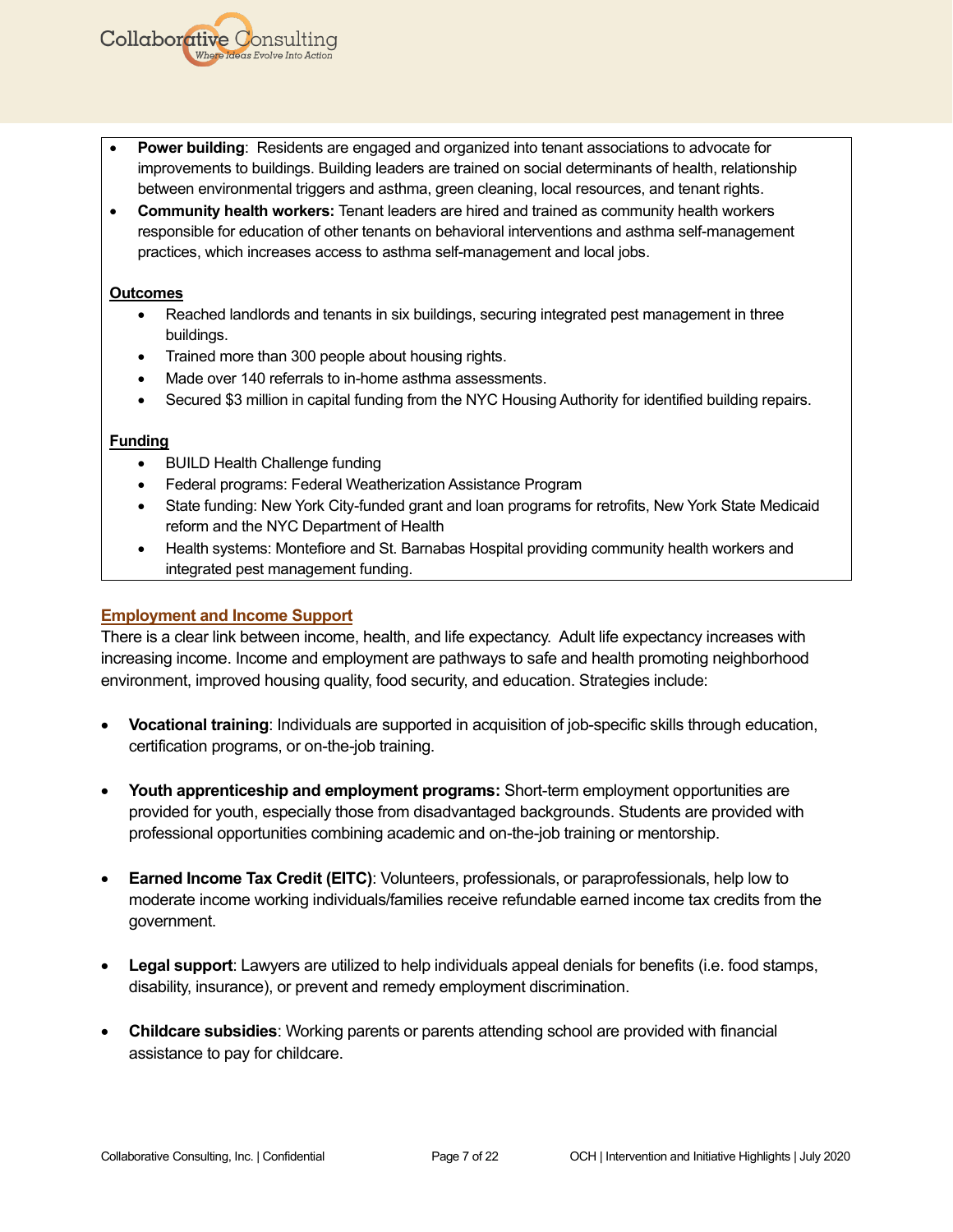- **Power building**: Residents are engaged and organized into tenant associations to advocate for improvements to buildings. Building leaders are trained on social determinants of health, relationship between environmental triggers and asthma, green cleaning, local resources, and tenant rights.
- **Community health workers:** Tenant leaders are hired and trained as community health workers responsible for education of other tenants on behavioral interventions and asthma self-management practices, which increases access to asthma self-management and local jobs.

#### **Outcomes**

**Collaborative Consulting** 

- Reached landlords and tenants in six buildings, securing integrated pest management in three buildings.
- Trained more than 300 people about housing rights.
- Made over 140 referrals to in-home asthma assessments.
- Secured \$3 million in capital funding from the NYC Housing Authority for identified building repairs.

## **Funding**

- BUILD Health Challenge funding
- Federal programs: Federal Weatherization Assistance Program
- State funding: New York City-funded grant and loan programs for retrofits, New York State Medicaid reform and the NYC Department of Health
- Health systems: Montefiore and St. Barnabas Hospital providing community health workers and integrated pest management funding.

## **Employment and Income Support**

There is a clear link between income, health, and life expectancy. Adult life expectancy increases with increasing income. Income and employment are pathways to safe and health promoting neighborhood environment, improved housing quality, food security, and education. Strategies include:

- **Vocational training**: Individuals are supported in acquisition of job-specific skills through education, certification programs, or on-the-job training.
- **Youth apprenticeship and employment programs:** Short-term employment opportunities are provided for youth, especially those from disadvantaged backgrounds. Students are provided with professional opportunities combining academic and on-the-job training or mentorship.
- **Earned Income Tax Credit (EITC)**: Volunteers, professionals, or paraprofessionals, help low to moderate income working individuals/families receive refundable earned income tax credits from the government.
- **Legal support**: Lawyers are utilized to help individuals appeal denials for benefits (i.e. food stamps, disability, insurance), or prevent and remedy employment discrimination.
- **Childcare subsidies**: Working parents or parents attending school are provided with financial assistance to pay for childcare.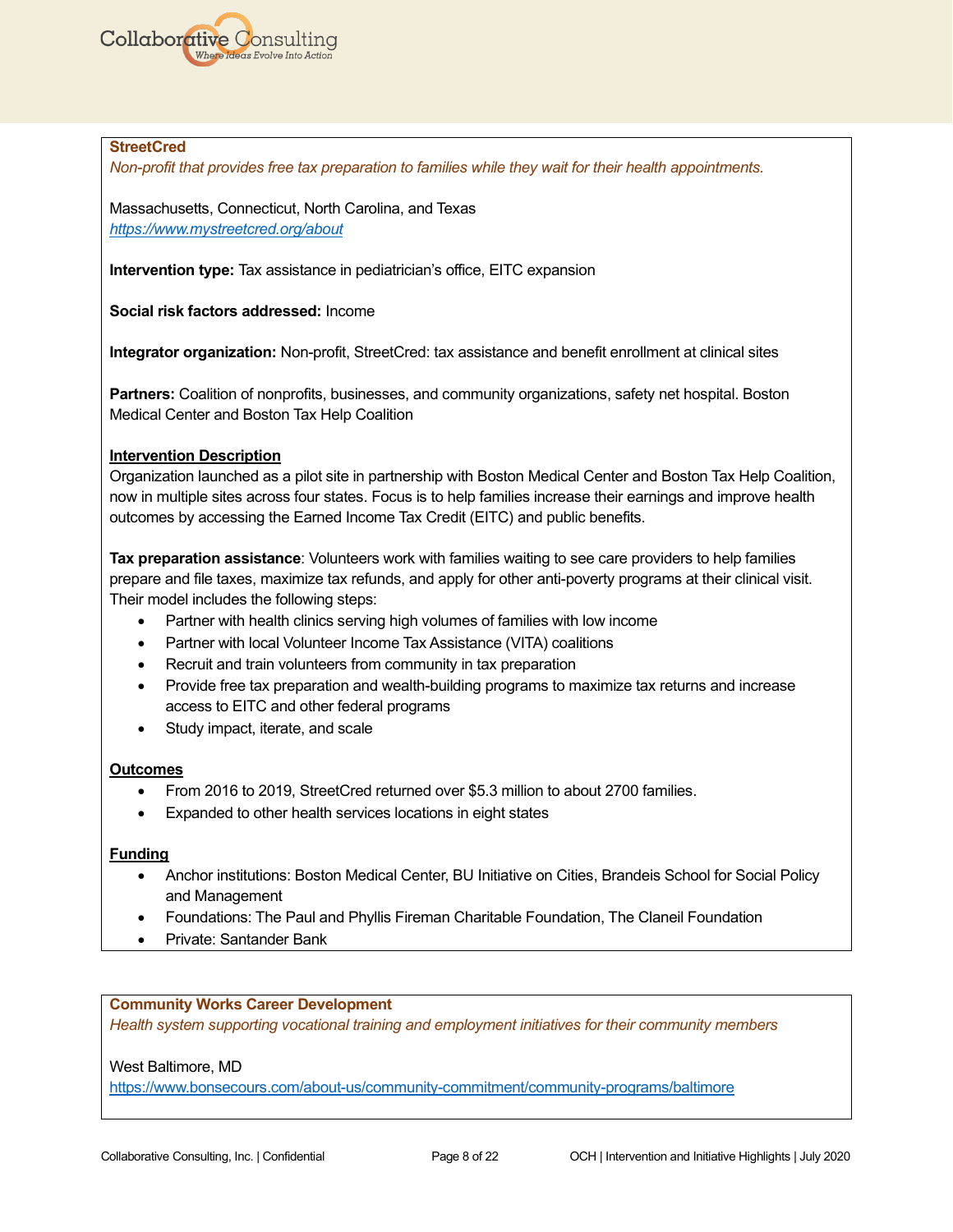

#### **StreetCred**

*Non-profit that provides free tax preparation to families while they wait for their health appointments.* 

Massachusetts, Connecticut, North Carolina, and Texas *<https://www.mystreetcred.org/about>*

**Intervention type:** Tax assistance in pediatrician's office, EITC expansion

**Social risk factors addressed:** Income

**Integrator organization:** Non-profit, StreetCred: tax assistance and benefit enrollment at clinical sites

**Partners:** Coalition of nonprofits, businesses, and community organizations, safety net hospital. Boston Medical Center and Boston Tax Help Coalition

### **Intervention Description**

Organization launched as a pilot site in partnership with Boston Medical Center and Boston Tax Help Coalition, now in multiple sites across four states. Focus is to help families increase their earnings and improve health outcomes by accessing the Earned Income Tax Credit (EITC) and public benefits.

**Tax preparation assistance**: Volunteers work with families waiting to see care providers to help families prepare and file taxes, maximize tax refunds, and apply for other anti-poverty programs at their clinical visit. Their model includes the following steps:

- Partner with health clinics serving high volumes of families with low income
- Partner with local Volunteer Income Tax Assistance (VITA) coalitions
- Recruit and train volunteers from community in tax preparation
- Provide free tax preparation and wealth-building programs to maximize tax returns and increase access to EITC and other federal programs
- Study impact, iterate, and scale

#### **Outcomes**

- From 2016 to 2019, StreetCred returned over \$5.3 million to about 2700 families.
- Expanded to other health services locations in eight states

#### **Funding**

- Anchor institutions: Boston Medical Center, BU Initiative on Cities, Brandeis School for Social Policy and Management
- Foundations: The Paul and Phyllis Fireman Charitable Foundation, The Claneil Foundation
- Private: Santander Bank

#### **Community Works Career Development**

*Health system supporting vocational training and employment initiatives for their community members*

#### West Baltimore, MD

<https://www.bonsecours.com/about-us/community-commitment/community-programs/baltimore>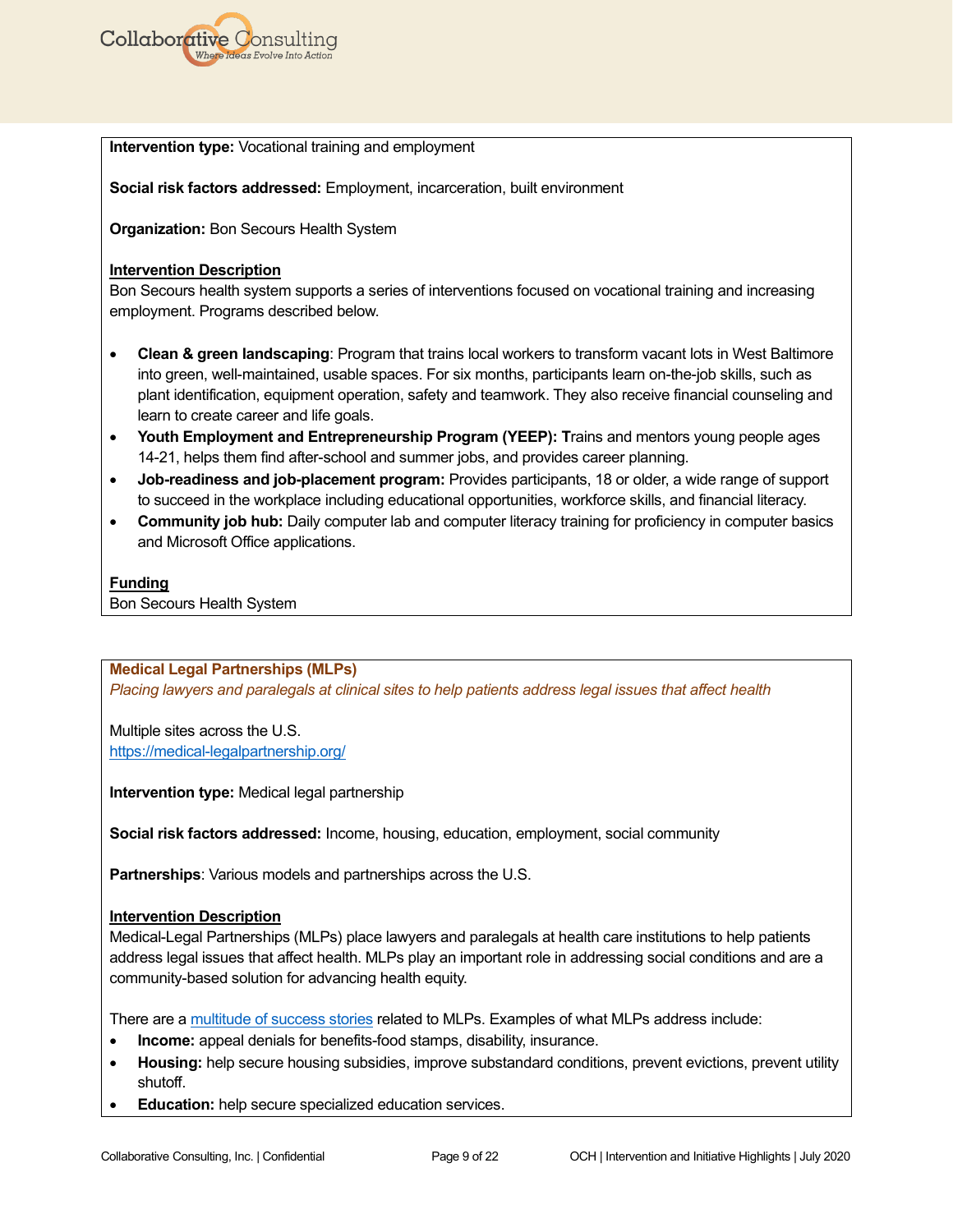

**Intervention type:** Vocational training and employment

**Social risk factors addressed:** Employment, incarceration, built environment

**Organization:** Bon Secours Health System

#### **Intervention Description**

Bon Secours health system supports a series of interventions focused on vocational training and increasing employment. Programs described below.

- **Clean & green landscaping**: Program that trains local workers to transform vacant lots in West Baltimore into green, well-maintained, usable spaces. For six months, participants learn on-the-job skills, such as plant identification, equipment operation, safety and teamwork. They also receive financial counseling and learn to create career and life goals.
- **Youth Employment and Entrepreneurship Program (YEEP): T**rains and mentors young people ages 14-21, helps them find after-school and summer jobs, and provides career planning.
- **Job-readiness and job-placement program:** Provides participants, 18 or older, a wide range of support to succeed in the workplace including educational opportunities, workforce skills, and financial literacy.
- **Community job hub:** Daily computer lab and computer literacy training for proficiency in computer basics and Microsoft Office applications.

### **Funding**

Bon Secours Health System

#### **Medical Legal Partnerships (MLPs)**

*Placing lawyers and paralegals at clinical sites to help patients address legal issues that affect health*

Multiple sites across the U.S. <https://medical-legalpartnership.org/>

**Intervention type:** Medical legal partnership

**Social risk factors addressed:** Income, housing, education, employment, social community

**Partnerships**: Various models and partnerships across the U.S.

#### **Intervention Description**

Medical-Legal Partnerships (MLPs) place lawyers and paralegals at health care institutions to help patients address legal issues that affect health. MLPs play an important role in addressing social conditions and are a community-based solution for advancing health equity.

There are [a multitude of success stories](https://medical-legalpartnership.org/impact/stories/) related to MLPs. Examples of what MLPs address include:

- **Income:** appeal denials for benefits-food stamps, disability, insurance.
- **Housing:** help secure housing subsidies, improve substandard conditions, prevent evictions, prevent utility shutoff.
- **Education:** help secure specialized education services.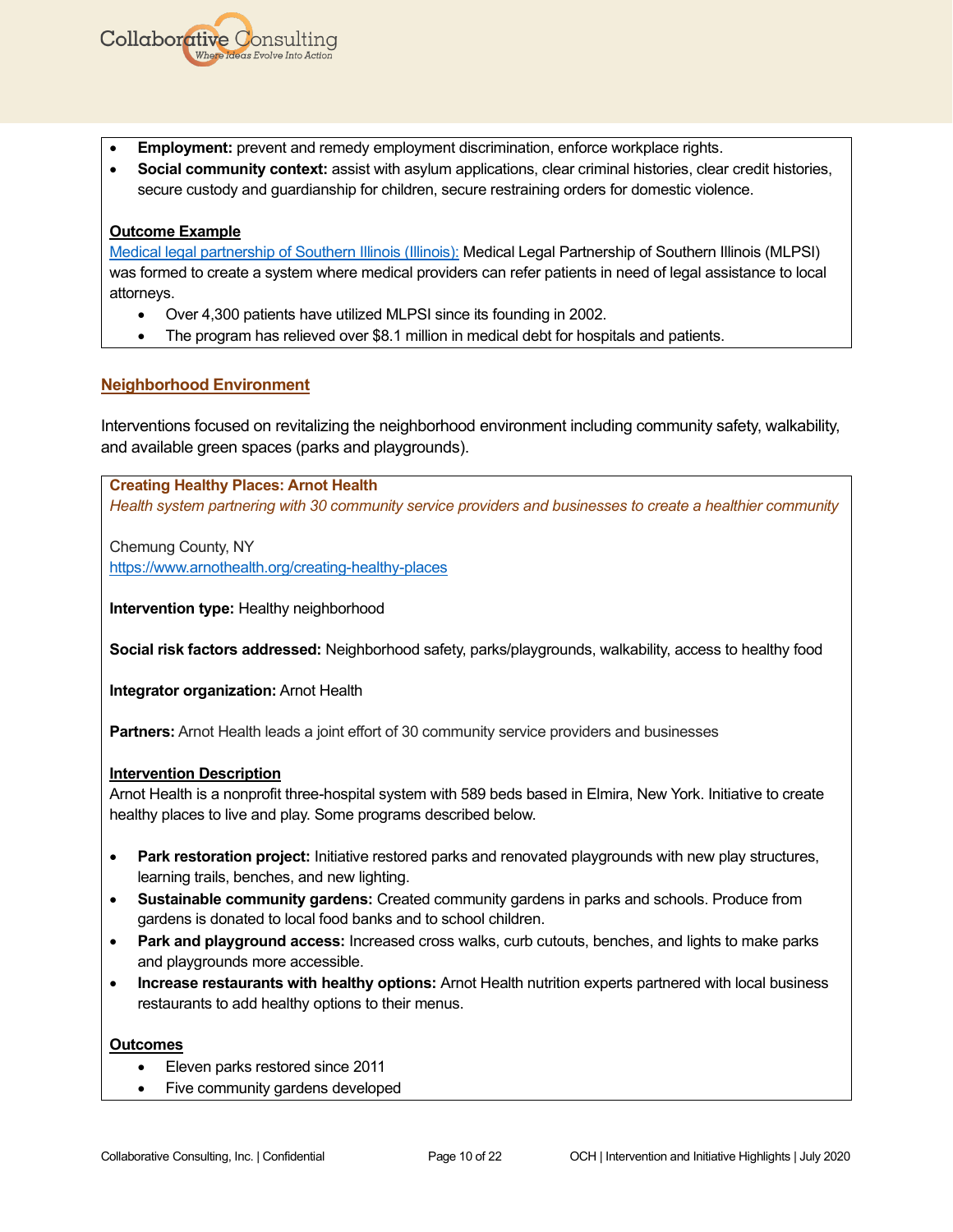- **Employment:** prevent and remedy employment discrimination, enforce workplace rights.
- **Social community context:** assist with asylum applications, clear criminal histories, clear credit histories, secure custody and guardianship for children, secure restraining orders for domestic violence.

# **Outcome Example**

**Collaborative Consulting** 

Where Ideas Evolve Into Action

[Medical legal partnership of Southern Illinois \(Illinois\):](https://www.hsidn.org/medical-legal-partnership) Medical Legal Partnership of Southern Illinois (MLPSI) was formed to create a system where medical providers can refer patients in need of legal assistance to local attorneys.

- Over 4,300 patients have utilized MLPSI since its founding in 2002.
- The program has relieved over \$8.1 million in medical debt for hospitals and patients.

# **Neighborhood Environment**

Interventions focused on revitalizing the neighborhood environment including community safety, walkability, and available green spaces (parks and playgrounds).

**Creating Healthy Places: Arnot Health** *Health system partnering with 30 community service providers and businesses to create a healthier community* 

Chemung County, NY <https://www.arnothealth.org/creating-healthy-places>

**Intervention type:** Healthy neighborhood

**Social risk factors addressed:** Neighborhood safety, parks/playgrounds, walkability, access to healthy food

**Integrator organization:** Arnot Health

**Partners:** Arnot Health leads a joint effort of 30 community service providers and businesses

# **Intervention Description**

Arnot Health is a nonprofit three-hospital system with 589 beds based in Elmira, New York. Initiative to create healthy places to live and play. Some programs described below.

- **Park restoration project:** Initiative restored parks and renovated playgrounds with new play structures, learning trails, benches, and new lighting.
- **Sustainable community gardens:** Created community gardens in parks and schools. Produce from gardens is donated to local food banks and to school children.
- **Park and playground access:** Increased cross walks, curb cutouts, benches, and lights to make parks and playgrounds more accessible.
- **Increase restaurants with healthy options:** Arnot Health nutrition experts partnered with local business restaurants to add healthy options to their menus.

# **Outcomes**

- Eleven parks restored since 2011
- Five community gardens developed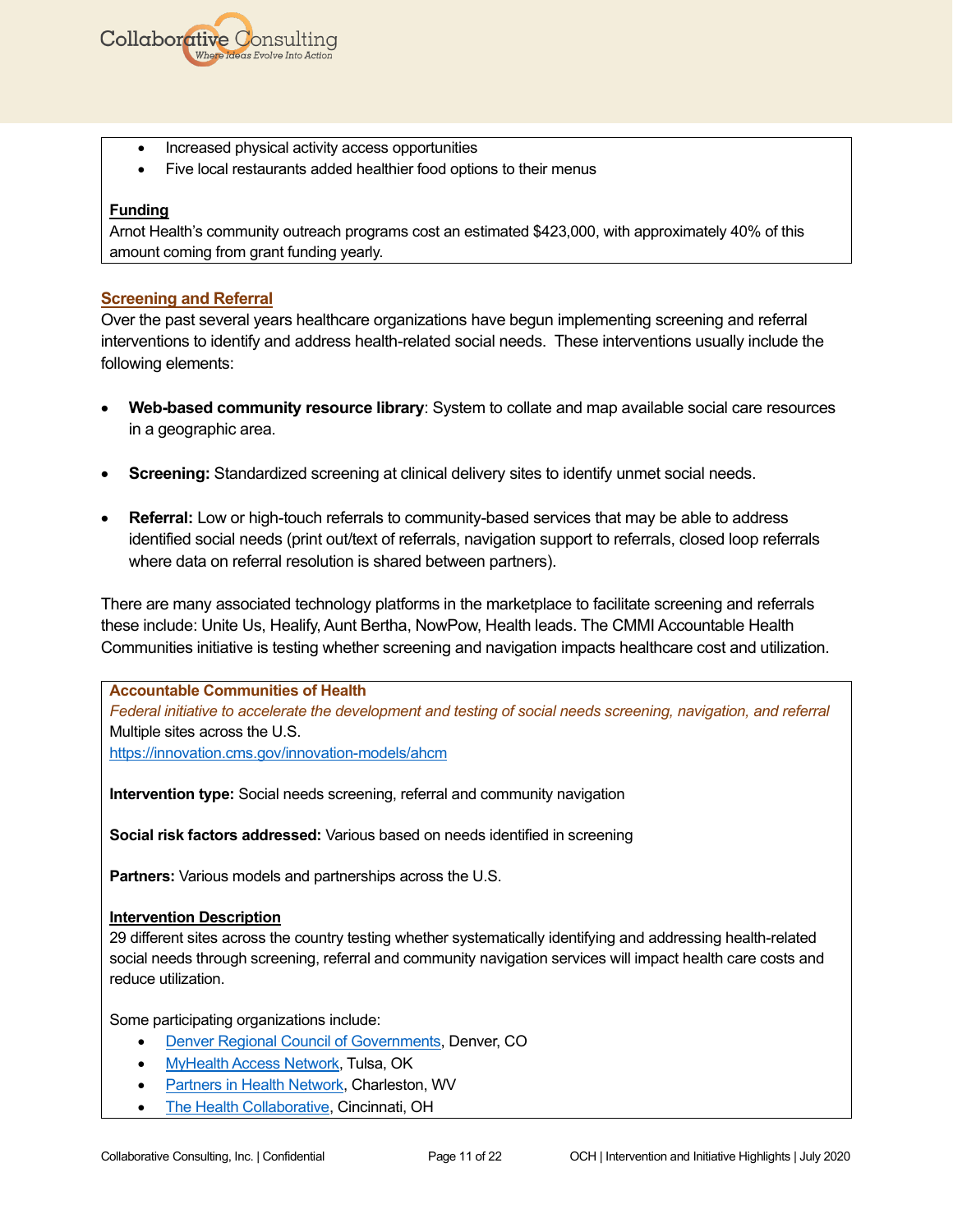

- Increased physical activity access opportunities
- Five local restaurants added healthier food options to their menus

Arnot Health's community outreach programs cost an estimated \$423,000, with approximately 40% of this amount coming from grant funding yearly.

### **Screening and Referral**

Over the past several years healthcare organizations have begun implementing screening and referral interventions to identify and address health-related social needs. These interventions usually include the following elements:

- **Web-based community resource library**: System to collate and map available social care resources in a geographic area.
- **Screening:** Standardized screening at clinical delivery sites to identify unmet social needs.
- **Referral:** Low or high-touch referrals to community-based services that may be able to address identified social needs (print out/text of referrals, navigation support to referrals, closed loop referrals where data on referral resolution is shared between partners).

There are many associated technology platforms in the marketplace to facilitate screening and referrals these include: Unite Us, Healify, Aunt Bertha, NowPow, Health leads. The CMMI Accountable Health Communities initiative is testing whether screening and navigation impacts healthcare cost and utilization.

**Accountable Communities of Health** *Federal initiative to accelerate the development and testing of social needs screening, navigation, and referral*  Multiple sites across the U.S. <https://innovation.cms.gov/innovation-models/ahcm>

**Intervention type:** Social needs screening, referral and community navigation

**Social risk factors addressed:** Various based on needs identified in screening

**Partners:** Various models and partnerships across the U.S.

#### **Intervention Description**

29 different sites across the country testing whether systematically identifying and addressing health-related social needs through screening, referral and community navigation services will impact health care costs and reduce utilization.

Some participating organizations include:

- [Denver Regional Council of Governments,](https://drcog.org/about-drcog/about-drcog) Denver, CO
- [MyHealth Access Network,](https://myhealthaccess.net/) Tulsa, OK
- **[Partners in Health Network,](https://www.pihn.org/) Charleston, WV**
- [The Health Collaborative,](https://healthcollab.org/who-we-are/) Cincinnati, OH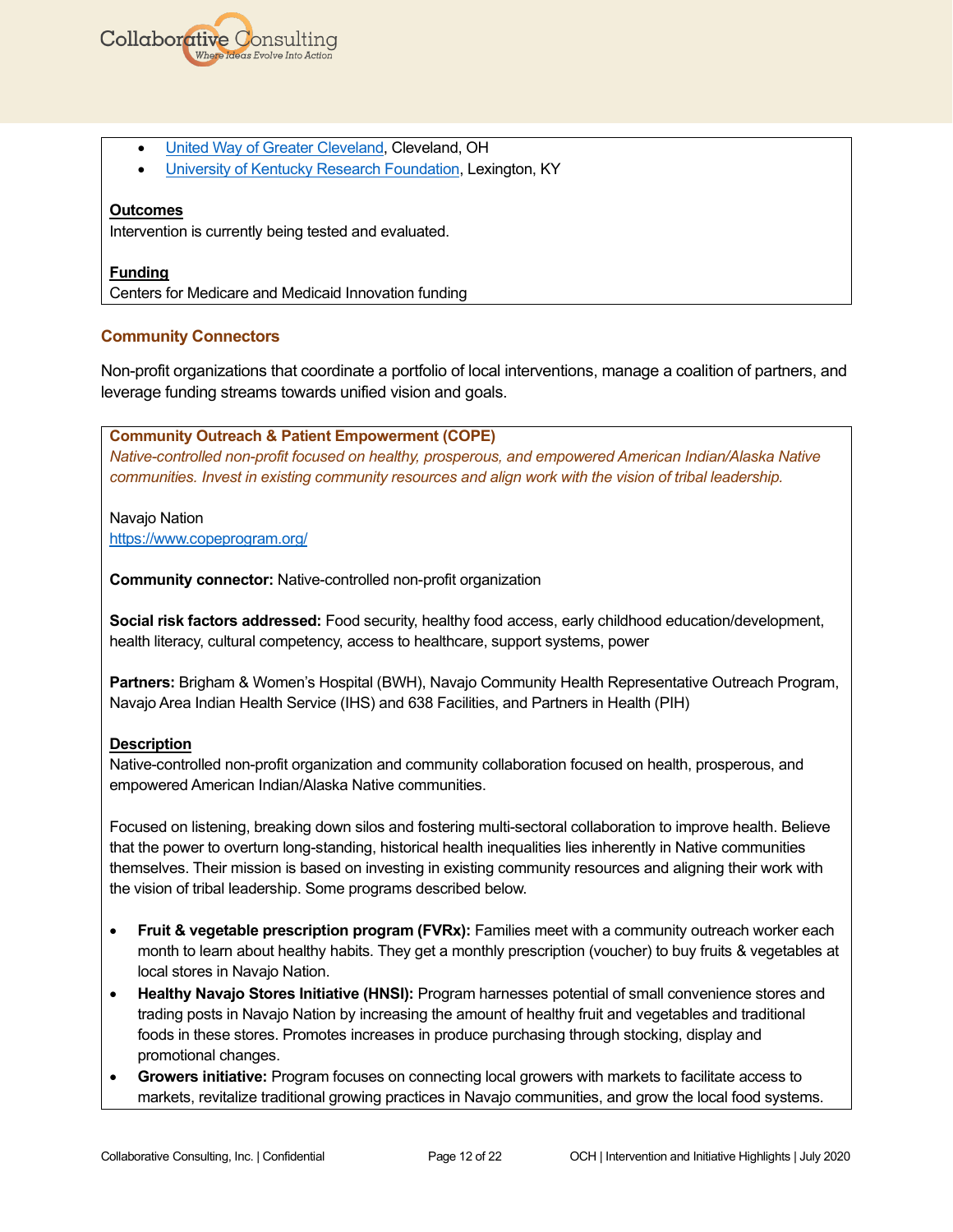

- [United Way of Greater Cleveland,](https://www.unitedwaycleveland.org/) Cleveland, OH
- [University of Kentucky Research Foundation,](https://www.research.uky.edu/research-administrative-fiscal-affairs/university-kentucky-research-foundation) Lexington, KY

### **Outcomes**

Intervention is currently being tested and evaluated.

### **Funding**

Centers for Medicare and Medicaid Innovation funding

### **Community Connectors**

Non-profit organizations that coordinate a portfolio of local interventions, manage a coalition of partners, and leverage funding streams towards unified vision and goals.

**Community Outreach & Patient Empowerment (COPE)** *Native-controlled non-profit focused on healthy, prosperous, and empowered American Indian/Alaska Native communities. Invest in existing community resources and align work with the vision of tribal leadership.*

Navajo Nation <https://www.copeprogram.org/>

**Community connector:** Native-controlled non-profit organization

**Social risk factors addressed:** Food security, healthy food access, early childhood education/development, health literacy, cultural competency, access to healthcare, support systems, power

**Partners:** Brigham & Women's Hospital (BWH), Navajo Community Health Representative Outreach Program, Navajo Area Indian Health Service (IHS) and 638 Facilities, and Partners in Health (PIH)

#### **Description**

Native-controlled non-profit organization and community collaboration focused on health, prosperous, and empowered American Indian/Alaska Native communities.

Focused on listening, breaking down silos and fostering multi-sectoral collaboration to improve health. Believe that the power to overturn long-standing, historical health inequalities lies inherently in Native communities themselves. Their mission is based on investing in existing community resources and aligning their work with the vision of tribal leadership. Some programs described below.

- **Fruit & vegetable prescription program (FVRx):** Families meet with a community outreach worker each month to learn about healthy habits. They get a monthly prescription (voucher) to buy fruits & vegetables at local stores in Navajo Nation.
- **Healthy Navajo Stores Initiative (HNSI):** Program harnesses potential of small convenience stores and trading posts in Navajo Nation by increasing the amount of healthy fruit and vegetables and traditional foods in these stores. Promotes increases in produce purchasing through stocking, display and promotional changes.
- **Growers initiative:** Program focuses on connecting local growers with markets to facilitate access to markets, revitalize traditional growing practices in Navajo communities, and grow the local food systems.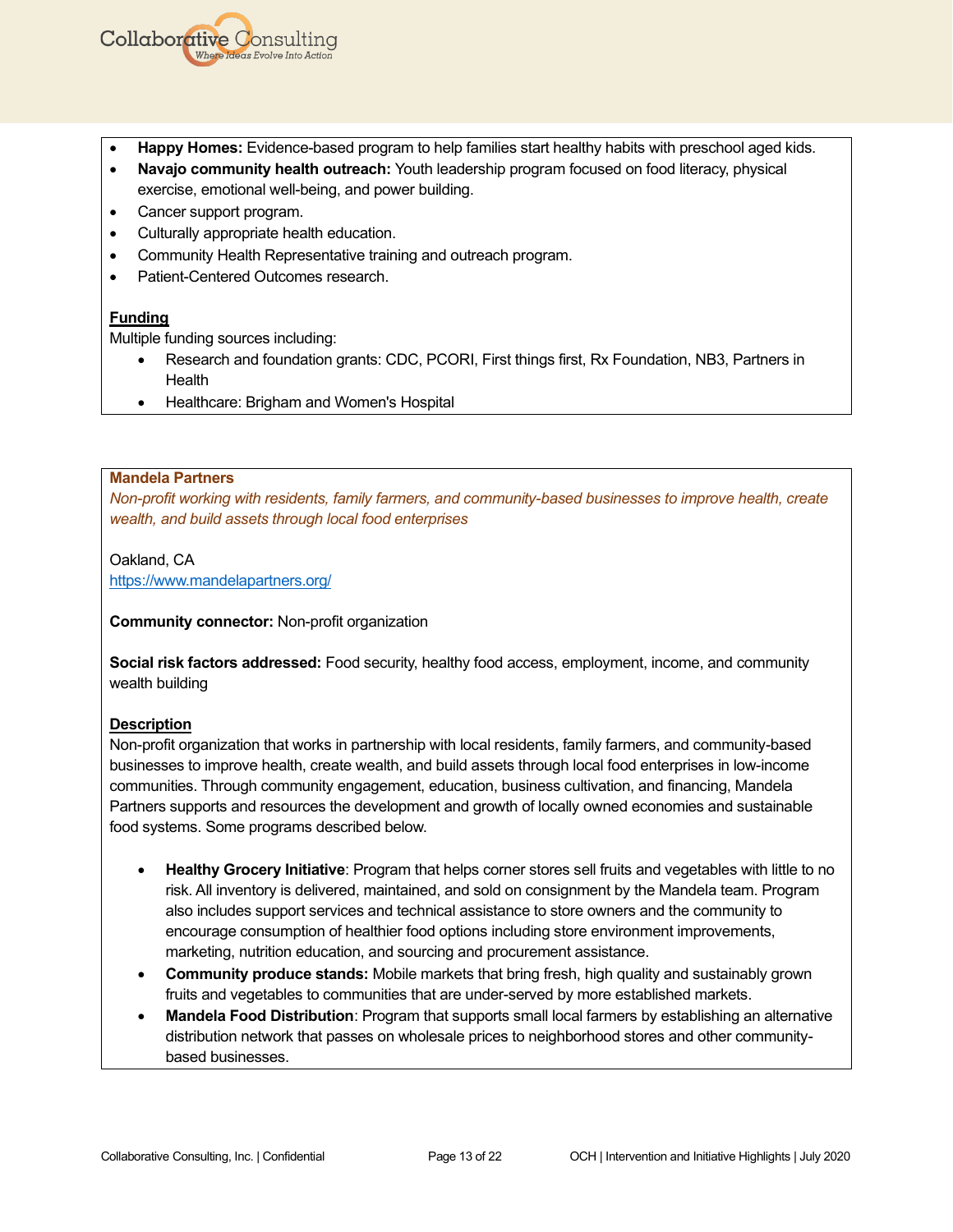

- **Happy Homes:** Evidence-based program to help families start healthy habits with preschool aged kids.
- **Navajo community health outreach:** Youth leadership program focused on food literacy, physical exercise, emotional well-being, and power building.
- Cancer support program.
- Culturally appropriate health education.
- Community Health Representative training and outreach program.
- Patient-Centered Outcomes research.

Multiple funding sources including:

- Research and foundation grants: CDC, PCORI, First things first, Rx Foundation, NB3, Partners in Health
- Healthcare: Brigham and Women's Hospital

#### **Mandela Partners**

*Non-profit working with residents, family farmers, and community-based businesses to improve health, create wealth, and build assets through local food enterprises*

Oakland, CA <https://www.mandelapartners.org/>

**Community connector:** Non-profit organization

**Social risk factors addressed:** Food security, healthy food access, employment, income, and community wealth building

#### **Description**

Non-profit organization that works in partnership with local residents, family farmers, and community-based businesses to improve health, create wealth, and build assets through local food enterprises in low-income communities. Through community engagement, education, business cultivation, and financing, Mandela Partners supports and resources the development and growth of locally owned economies and sustainable food systems. Some programs described below.

- **Healthy Grocery Initiative**: Program that helps corner stores sell fruits and vegetables with little to no risk. All inventory is delivered, maintained, and sold on consignment by the Mandela team. Program also includes support services and technical assistance to store owners and the community to encourage consumption of healthier food options including store environment improvements, marketing, nutrition education, and sourcing and procurement assistance.
- **Community produce stands:** Mobile markets that bring fresh, high quality and sustainably grown fruits and vegetables to communities that are under-served by more established markets.
- **Mandela Food Distribution**: Program that supports small local farmers by establishing an alternative distribution network that passes on wholesale prices to neighborhood stores and other communitybased businesses.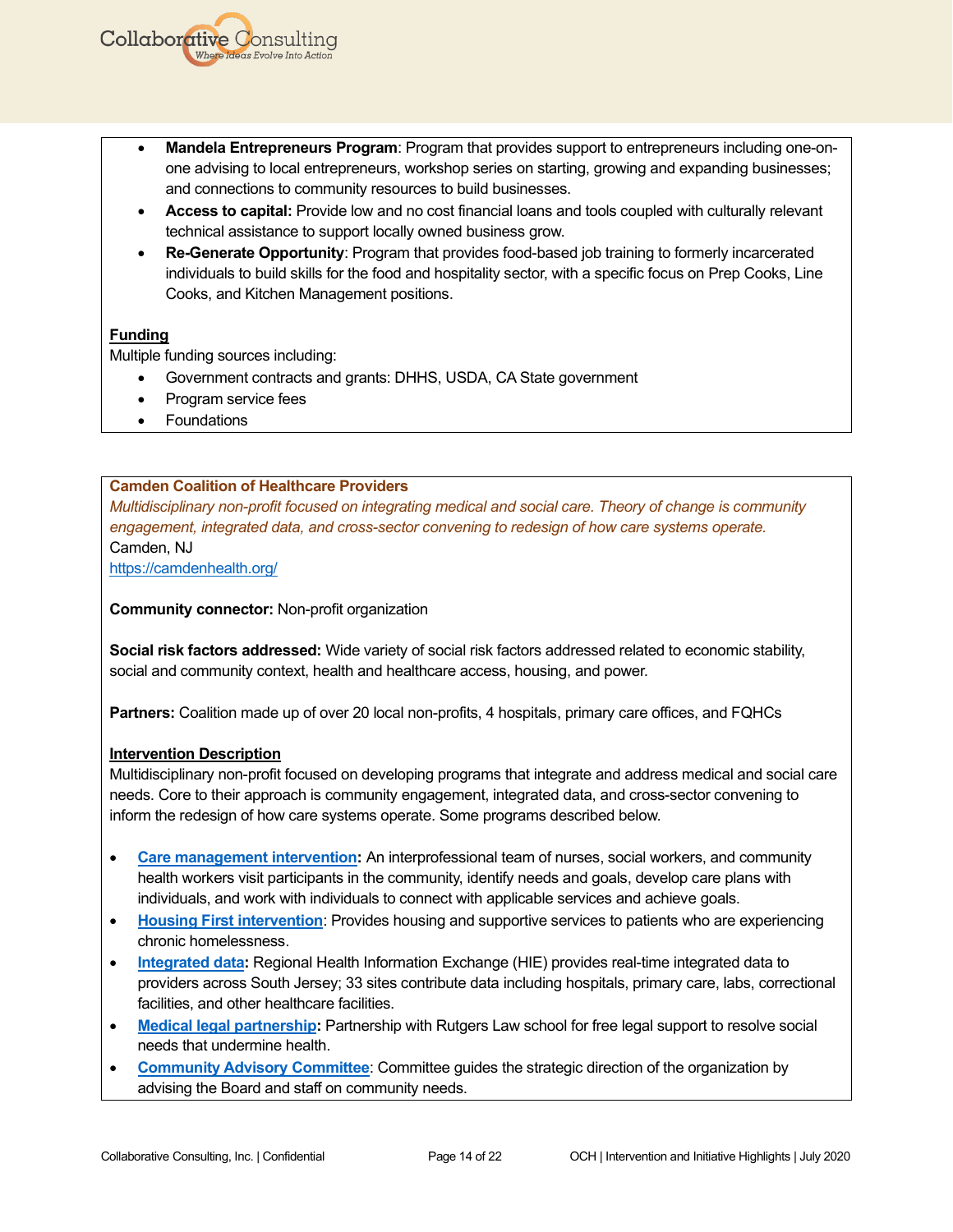- **Mandela Entrepreneurs Program**: Program that provides support to entrepreneurs including one-onone advising to local entrepreneurs, workshop series on starting, growing and expanding businesses; and connections to community resources to build businesses.
- **Access to capital:** Provide low and no cost financial loans and tools coupled with culturally relevant technical assistance to support locally owned business grow.
- **Re-Generate Opportunity**: Program that provides food-based job training to formerly incarcerated individuals to build skills for the food and hospitality sector, with a specific focus on Prep Cooks, Line Cooks, and Kitchen Management positions.

Multiple funding sources including:

- Government contracts and grants: DHHS, USDA, CA State government
- Program service fees
- Foundations

## **Camden Coalition of Healthcare Providers**

*Multidisciplinary non-profit focused on integrating medical and social care. Theory of change is community engagement, integrated data, and cross-sector convening to redesign of how care systems operate.* Camden, NJ

<https://camdenhealth.org/>

**Community connector:** Non-profit organization

**Social risk factors addressed:** Wide variety of social risk factors addressed related to economic stability, social and community context, health and healthcare access, housing, and power.

**Partners:** Coalition made up of over 20 local non-profits, 4 hospitals, primary care offices, and FQHCs

## **Intervention Description**

Multidisciplinary non-profit focused on developing programs that integrate and address medical and social care needs. Core to their approach is community engagement, integrated data, and cross-sector convening to inform the redesign of how care systems operate. Some programs described below.

- **[Care management intervention:](https://camdenhealth.org/care-interventions/camden-core-model/)** An interprofessional team of nurses, social workers, and community health workers visit participants in the community, identify needs and goals, develop care plans with individuals, and work with individuals to connect with applicable services and achieve goals.
- **[Housing First intervention](https://camdenhealth.org/care-interventions/housing-first/)**: Provides housing and supportive services to patients who are experiencing chronic homelessness.
- **[Integrated data:](https://camdenhealth.org/connecting-data/hie/)** Regional Health Information Exchange (HIE) provides real-time integrated data to providers across South Jersey; 33 sites contribute data including hospitals, primary care, labs, correctional facilities, and other healthcare facilities.
- **[Medical legal partnership:](https://camdenhealth.org/care-interventions/medical-legal-partnership/)** Partnership with Rutgers Law school for free legal support to resolve social needs that undermine health.
- **[Community Advisory Committee](https://camdenhealth.org/about/community-advisory-committee/)**: Committee guides the strategic direction of the organization by advising the Board and staff on community needs.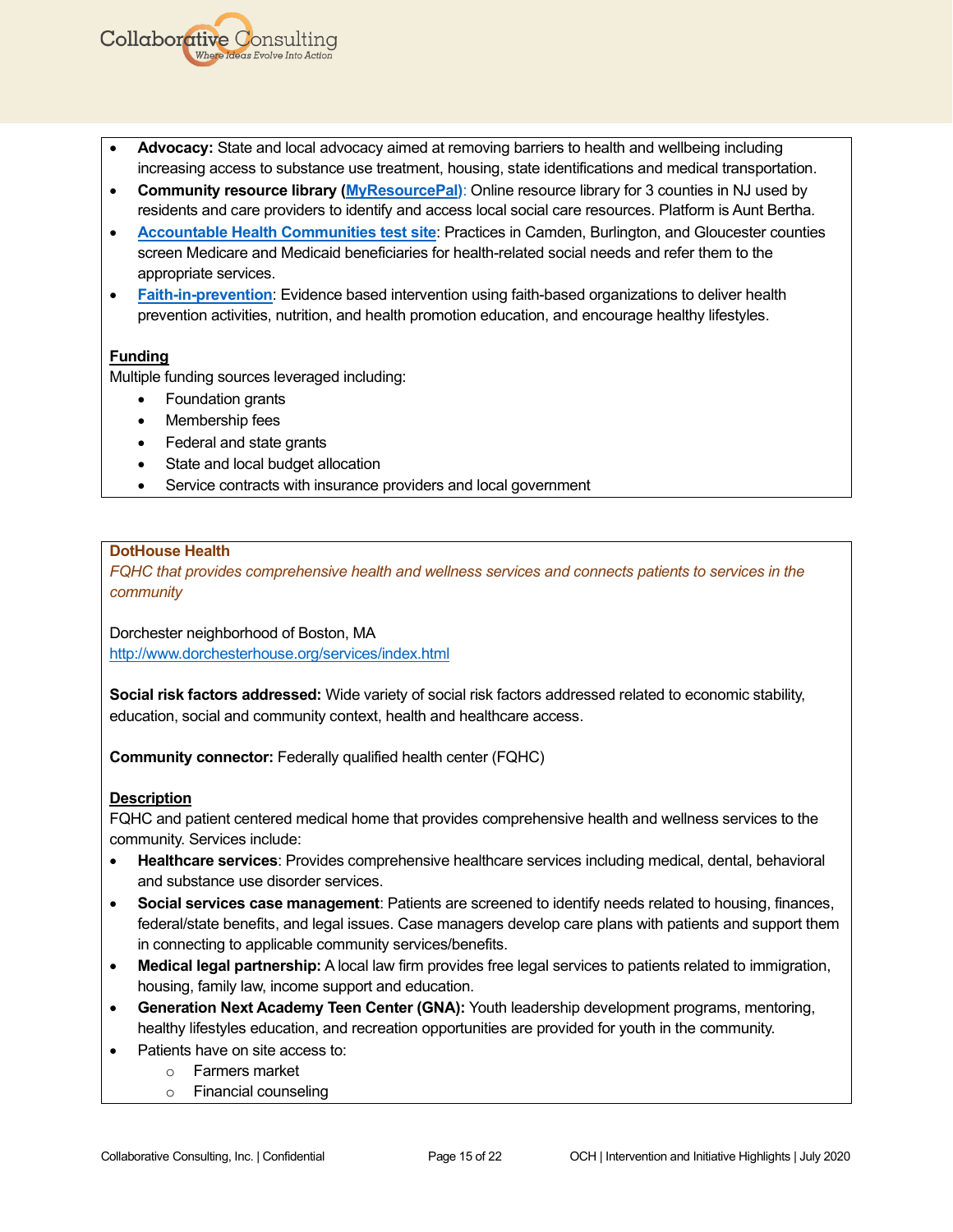- **Advocacy:** State and local advocacy aimed at removing barriers to health and wellbeing including increasing access to substance use treatment, housing, state identifications and medical transportation.
- **Community resource library [\(MyResourcePal\)](https://camdenhealth.org/care-interventions/my-resource-pal/)**: Online resource library for 3 counties in NJ used by residents and care providers to identify and access local social care resources. Platform is Aunt Bertha.
- **[Accountable Health Communities](https://camdenhealth.org/wp-content/uploads/2020/03/2019-Annual-Report-Final.pdf) test site**: Practices in Camden, Burlington, and Gloucester counties screen Medicare and Medicaid beneficiaries for health-related social needs and refer them to the appropriate services.
- **[Faith-in-prevention](https://camdenhealth.org/coalition-building/local-initiatives/faith-based-organizations/)**: Evidence based intervention using faith-based organizations to deliver health prevention activities, nutrition, and health promotion education, and encourage healthy lifestyles.

Multiple funding sources leveraged including:

• Foundation grants

**Collaborative Consulting** 

- Membership fees
- Federal and state grants
- State and local budget allocation
- Service contracts with insurance providers and local government

### **DotHouse Health**

*FQHC that provides comprehensive health and wellness services and connects patients to services in the community*

Dorchester neighborhood of Boston, MA <http://www.dorchesterhouse.org/services/index.html>

**Social risk factors addressed:** Wide variety of social risk factors addressed related to economic stability, education, social and community context, health and healthcare access.

**Community connector:** Federally qualified health center (FQHC)

#### **Description**

FQHC and patient centered medical home that provides comprehensive health and wellness services to the community. Services include:

- **Healthcare services**: Provides comprehensive healthcare services including medical, dental, behavioral and substance use disorder services.
- **Social services case management**: Patients are screened to identify needs related to housing, finances, federal/state benefits, and legal issues. Case managers develop care plans with patients and support them in connecting to applicable community services/benefits.
- **Medical legal partnership:** A local law firm provides free legal services to patients related to immigration, housing, family law, income support and education.
- **Generation Next Academy Teen Center (GNA):** Youth leadership development programs, mentoring, healthy lifestyles education, and recreation opportunities are provided for youth in the community.
- Patients have on site access to:
	- o Farmers market
		- o Financial counseling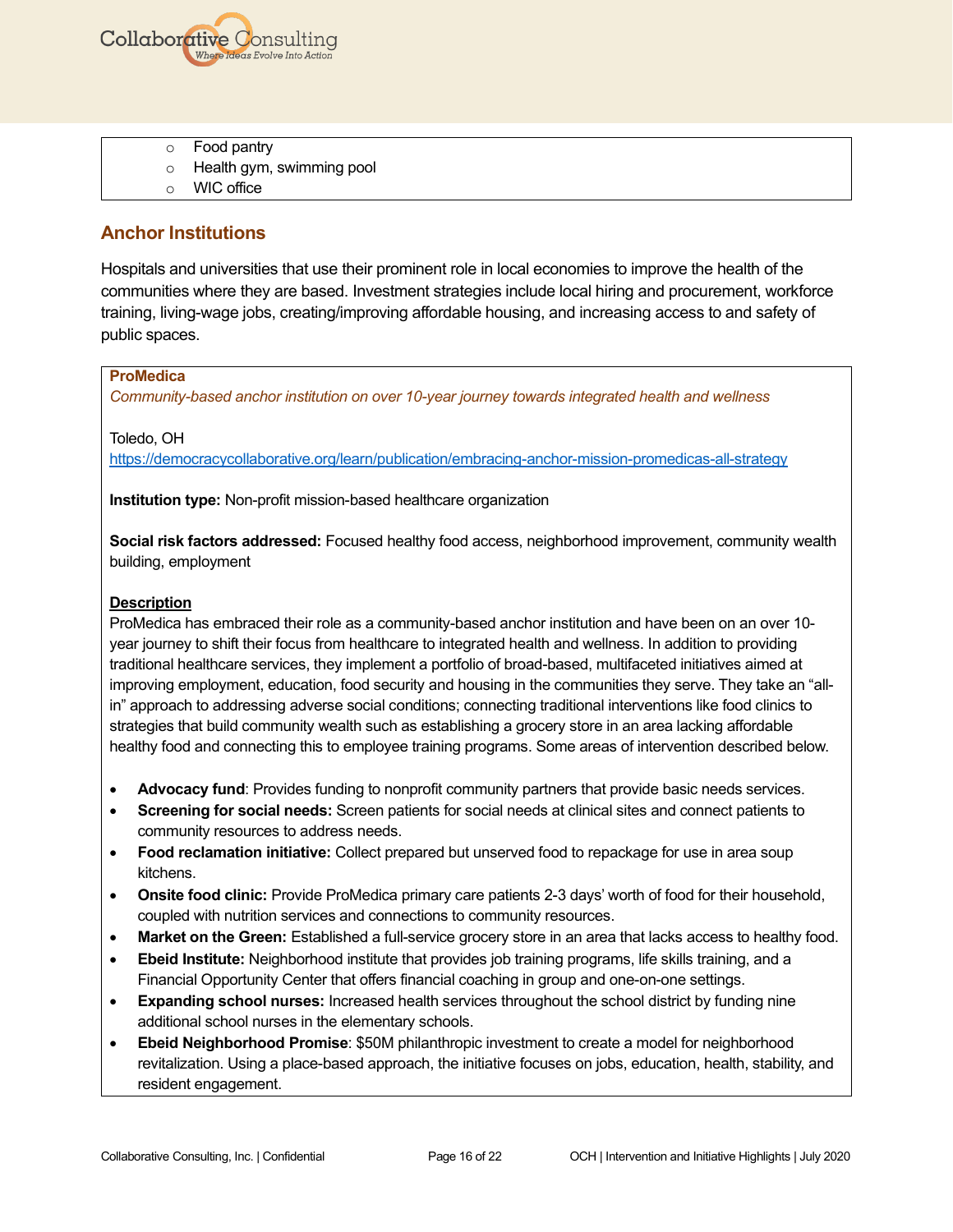

- o Food pantry
- o Health gym, swimming pool
- o WIC office

# **Anchor Institutions**

Hospitals and universities that use their prominent role in local economies to improve the health of the communities where they are based. Investment strategies include local hiring and procurement, workforce training, living-wage jobs, creating/improving affordable housing, and increasing access to and safety of public spaces.

## **ProMedica**

*Community-based anchor institution on over 10-year journey towards integrated health and wellness*

Toledo, OH

<https://democracycollaborative.org/learn/publication/embracing-anchor-mission-promedicas-all-strategy>

**Institution type:** Non-profit mission-based healthcare organization

**Social risk factors addressed:** Focused healthy food access, neighborhood improvement, community wealth building, employment

## **Description**

ProMedica has embraced their role as a community-based anchor institution and have been on an over 10 year journey to shift their focus from healthcare to integrated health and wellness. In addition to providing traditional healthcare services, they implement a portfolio of broad-based, multifaceted initiatives aimed at improving employment, education, food security and housing in the communities they serve. They take an "allin" approach to addressing adverse social conditions; connecting traditional interventions like food clinics to strategies that build community wealth such as establishing a grocery store in an area lacking affordable healthy food and connecting this to employee training programs. Some areas of intervention described below.

- **Advocacy fund**: Provides funding to nonprofit community partners that provide basic needs services.
- **Screening for social needs:** Screen patients for social needs at clinical sites and connect patients to community resources to address needs.
- **Food reclamation initiative:** Collect prepared but unserved food to repackage for use in area soup kitchens.
- **Onsite food clinic:** Provide ProMedica primary care patients 2-3 days' worth of food for their household, coupled with nutrition services and connections to community resources.
- **Market on the Green:** Established a full-service grocery store in an area that lacks access to healthy food.
- **Ebeid Institute:** Neighborhood institute that provides job training programs, life skills training, and a Financial Opportunity Center that offers financial coaching in group and one-on-one settings.
- **Expanding school nurses:** Increased health services throughout the school district by funding nine additional school nurses in the elementary schools.
- **Ebeid Neighborhood Promise**: \$50M philanthropic investment to create a model for neighborhood revitalization. Using a place-based approach, the initiative focuses on jobs, education, health, stability, and resident engagement.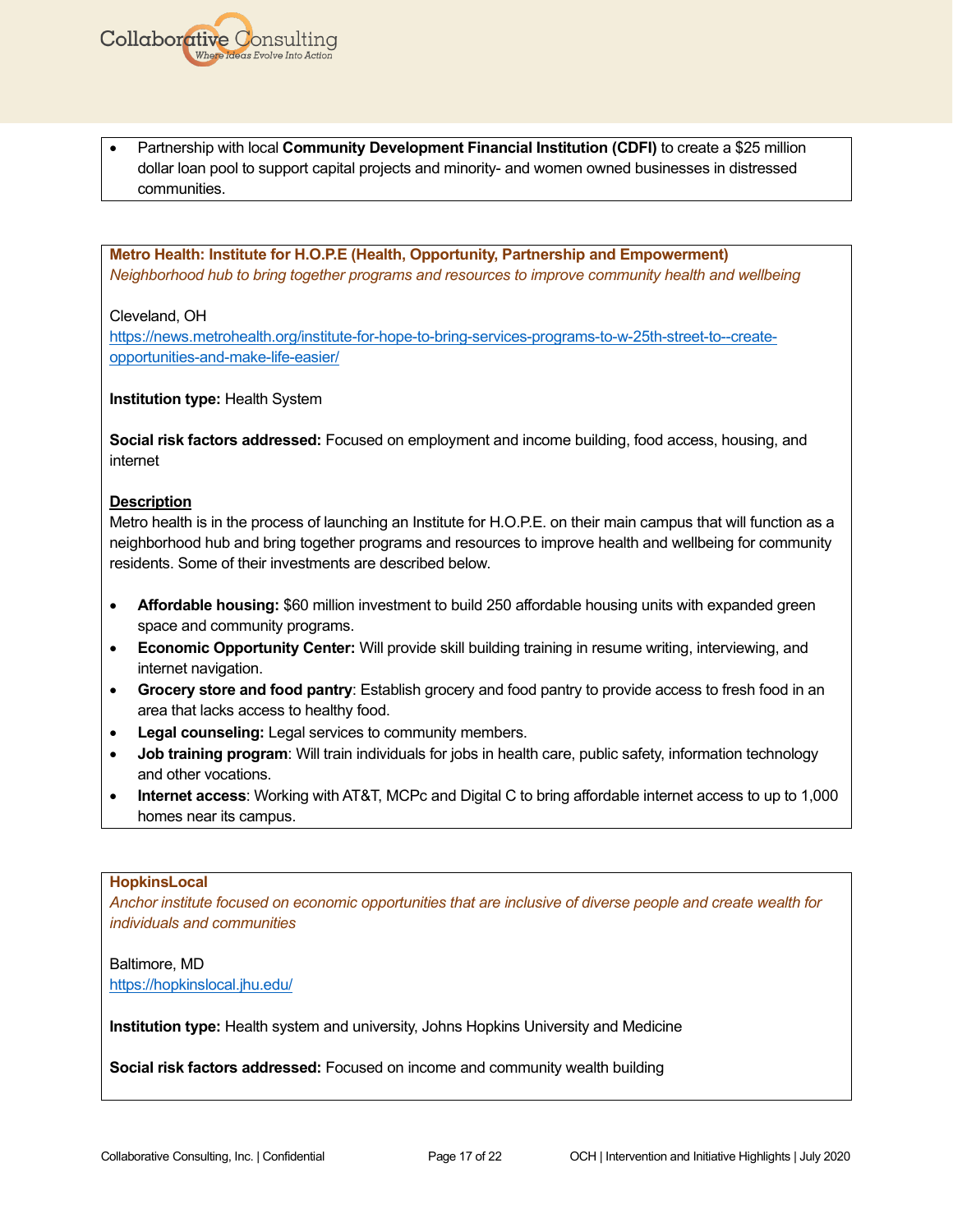

**Metro Health: Institute for H.O.P.E (Health, Opportunity, Partnership and Empowerment)** *Neighborhood hub to bring together programs and resources to improve community health and wellbeing* 

Cleveland, OH

[https://news.metrohealth.org/institute-for-hope-to-bring-services-programs-to-w-25th-street-to--create](https://news.metrohealth.org/institute-for-hope-to-bring-services-programs-to-w-25th-street-to--create-opportunities-and-make-life-easier/)[opportunities-and-make-life-easier/](https://news.metrohealth.org/institute-for-hope-to-bring-services-programs-to-w-25th-street-to--create-opportunities-and-make-life-easier/)

**Institution type:** Health System

**Collaborative Consulting** 

**Social risk factors addressed:** Focused on employment and income building, food access, housing, and internet

#### **Description**

Metro health is in the process of launching an Institute for H.O.P.E. on their main campus that will function as a neighborhood hub and bring together programs and resources to improve health and wellbeing for community residents. Some of their investments are described below.

- **Affordable housing:** \$60 million investment to build 250 affordable housing units with expanded green space and community programs.
- **Economic Opportunity Center:** Will provide skill building training in resume writing, interviewing, and internet navigation.
- **Grocery store and food pantry**: Establish grocery and food pantry to provide access to fresh food in an area that lacks access to healthy food.
- **Legal counseling:** Legal services to community members.
- **Job training program**: Will train individuals for jobs in health care, public safety, information technology and other vocations.
- **Internet access**: Working with AT&T, MCPc and Digital C to bring affordable internet access to up to 1,000 homes near its campus.

#### **HopkinsLocal**

*Anchor institute focused on economic opportunities that are inclusive of diverse people and create wealth for individuals and communities*

Baltimore, MD <https://hopkinslocal.jhu.edu/>

**Institution type:** Health system and university, Johns Hopkins University and Medicine

**Social risk factors addressed:** Focused on income and community wealth building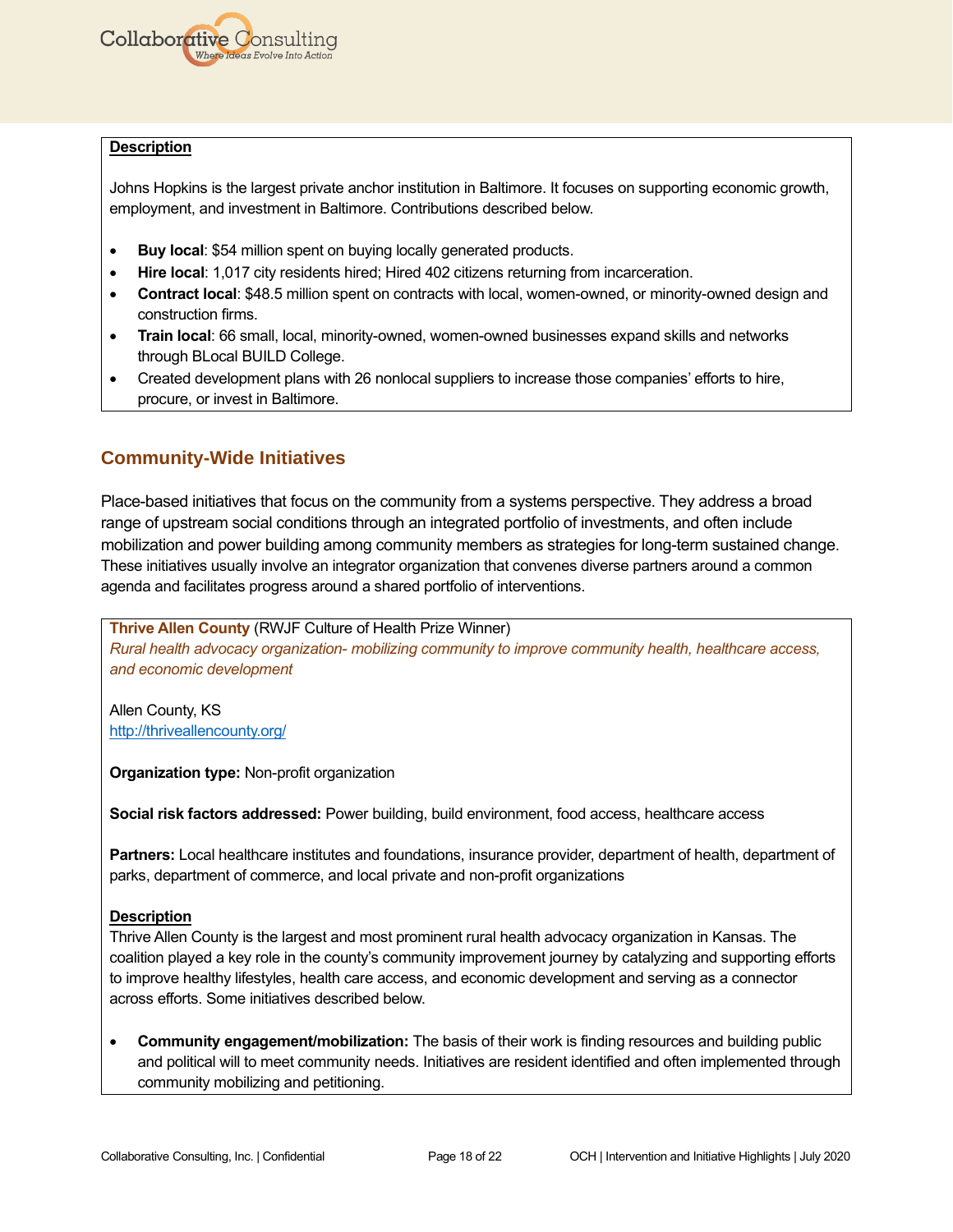

#### **Description**

Johns Hopkins is the largest private anchor institution in Baltimore. It focuses on supporting economic growth, employment, and investment in Baltimore. Contributions described below.

- **Buy local:** \$54 million spent on buying locally generated products.
- **Hire local**: 1,017 city residents hired; Hired 402 citizens returning from incarceration.
- **Contract local**: \$48.5 million spent on contracts with local, women-owned, or minority-owned design and construction firms.
- **Train local**: 66 small, local, minority-owned, women-owned businesses expand skills and networks through BLocal BUILD College.
- Created development plans with 26 nonlocal suppliers to increase those companies' efforts to hire, procure, or invest in Baltimore.

# **Community-Wide Initiatives**

Place-based initiatives that focus on the community from a systems perspective. They address a broad range of upstream social conditions through an integrated portfolio of investments, and often include mobilization and power building among community members as strategies for long-term sustained change. These initiatives usually involve an integrator organization that convenes diverse partners around a common agenda and facilitates progress around a shared portfolio of interventions.

**Thrive Allen County** (RWJF Culture of Health Prize Winner) *Rural health advocacy organization- mobilizing community to improve community health, healthcare access, and economic development*

Allen County, KS <http://thriveallencounty.org/>

**Organization type:** Non-profit organization

**Social risk factors addressed:** Power building, build environment, food access, healthcare access

**Partners:** Local healthcare institutes and foundations, insurance provider, department of health, department of parks, department of commerce, and local private and non-profit organizations

#### **Description**

Thrive Allen County is the largest and most prominent rural health advocacy organization in Kansas. The coalition played a key role in the county's community improvement journey by catalyzing and supporting efforts to improve healthy lifestyles, health care access, and economic development and serving as a connector across efforts. Some initiatives described below.

• **Community engagement/mobilization:** The basis of their work is finding resources and building public and political will to meet community needs. Initiatives are resident identified and often implemented through community mobilizing and petitioning.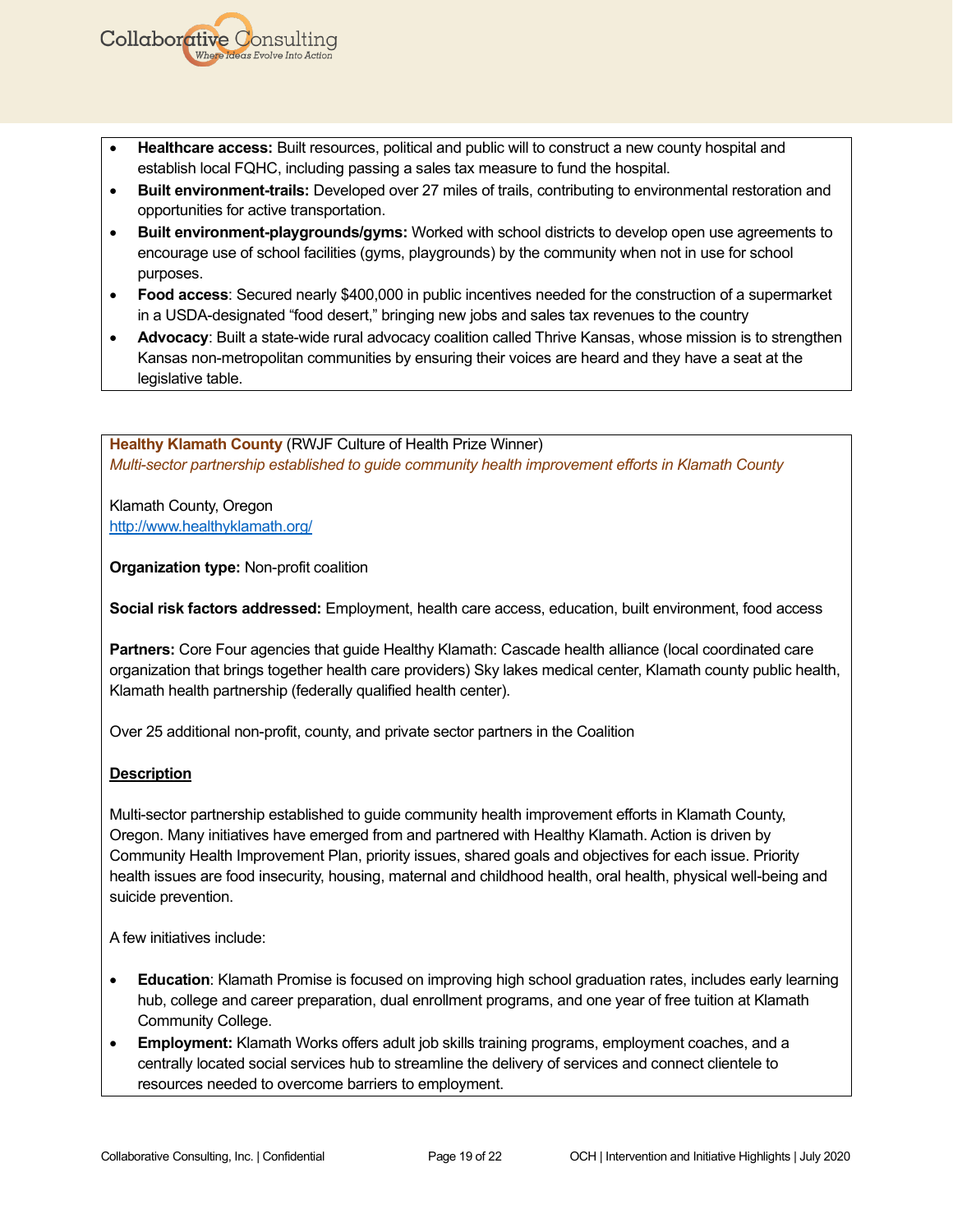- **Healthcare access:** Built resources, political and public will to construct a new county hospital and establish local FQHC, including passing a sales tax measure to fund the hospital.
- **Built environment-trails:** Developed over 27 miles of trails, contributing to environmental restoration and opportunities for active transportation.
- **Built environment-playgrounds/gyms:** Worked with school districts to develop open use agreements to encourage use of school facilities (gyms, playgrounds) by the community when not in use for school purposes.
- **Food access**: Secured nearly \$400,000 in public incentives needed for the construction of a supermarket in a USDA-designated "food desert," bringing new jobs and sales tax revenues to the country
- **Advocacy**: Built a state-wide rural advocacy coalition called Thrive Kansas, whose mission is to strengthen Kansas non-metropolitan communities by ensuring their voices are heard and they have a seat at the legislative table.

**Healthy Klamath County** (RWJF Culture of Health Prize Winner) *Multi-sector partnership established to guide community health improvement efforts in Klamath County*

Klamath County, Oregon <http://www.healthyklamath.org/>

**Collaborative Consulting** 

**Organization type:** Non-profit coalition

**Social risk factors addressed:** Employment, health care access, education, built environment, food access

**Partners:** Core Four agencies that guide Healthy Klamath: Cascade health alliance (local coordinated care organization that brings together health care providers) Sky lakes medical center, Klamath county public health, Klamath health partnership (federally qualified health center).

Over 25 additional non-profit, county, and private sector partners in the Coalition

#### **Description**

Multi-sector partnership established to guide community health improvement efforts in Klamath County, Oregon. Many initiatives have emerged from and partnered with Healthy Klamath. Action is driven by Community Health Improvement Plan, priority issues, shared goals and objectives for each issue. Priority health issues are food insecurity, housing, maternal and childhood health, oral health, physical well-being and suicide prevention.

A few initiatives include:

- **Education**: Klamath Promise is focused on improving high school graduation rates, includes early learning hub, college and career preparation, dual enrollment programs, and one year of free tuition at Klamath Community College.
- **Employment:** Klamath Works offers adult job skills training programs, employment coaches, and a centrally located social services hub to streamline the delivery of services and connect clientele to resources needed to overcome barriers to employment.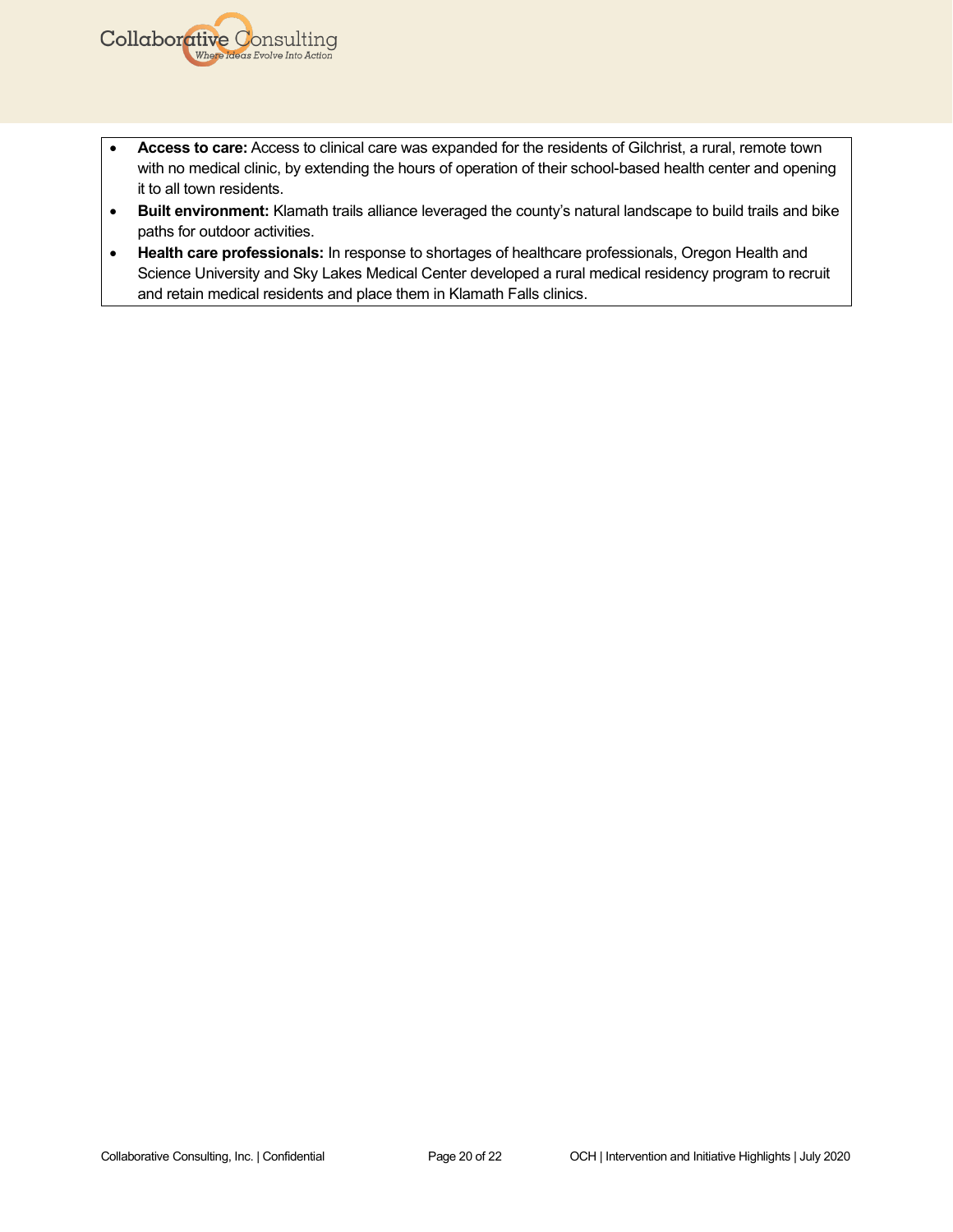- **Access to care:** Access to clinical care was expanded for the residents of Gilchrist, a rural, remote town with no medical clinic, by extending the hours of operation of their school-based health center and opening it to all town residents.
- **Built environment:** Klamath trails alliance leveraged the county's natural landscape to build trails and bike paths for outdoor activities.
- **Health care professionals:** In response to shortages of healthcare professionals, Oregon Health and Science University and Sky Lakes Medical Center developed a rural medical residency program to recruit and retain medical residents and place them in Klamath Falls clinics.